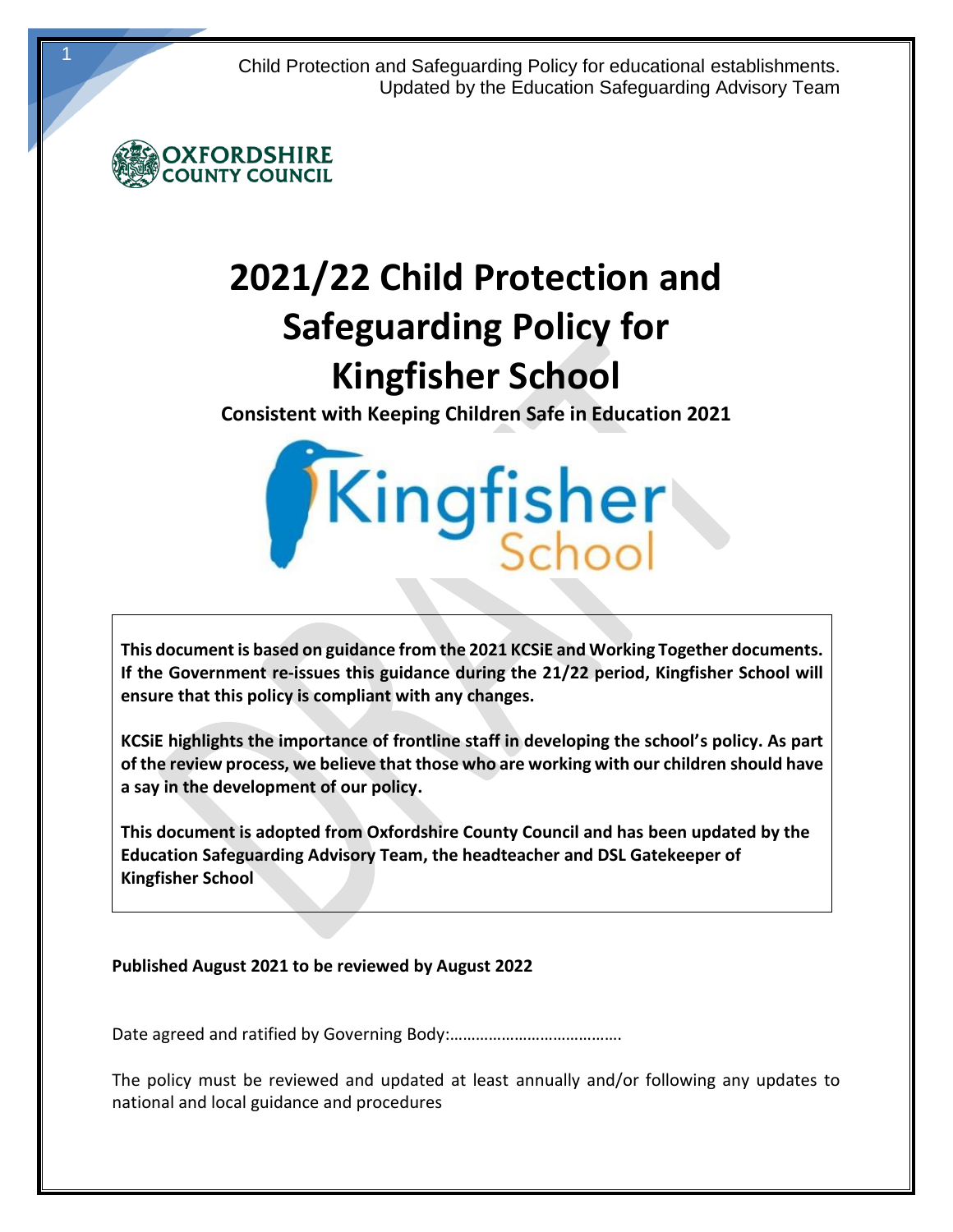Child Protection and Safeguarding Policy for educational establishments. Updated by the Education Safeguarding Advisory Team



1

# **2021/22 Child Protection and Safeguarding Policy for Kingfisher School**

**Consistent with Keeping Children Safe in Education 2021**

Kingfisher

**This document is based on guidance from the 2021 KCSiE and Working Together documents. If the Government re-issues this guidance during the 21/22 period, Kingfisher School will ensure that this policy is compliant with any changes.** 

**KCSiE highlights the importance of frontline staff in developing the school's policy. As part of the review process, we believe that those who are working with our children should have a say in the development of our policy.**

**This document is adopted from Oxfordshire County Council and has been updated by the Education Safeguarding Advisory Team, the headteacher and DSL Gatekeeper of Kingfisher School**

## **Published August 2021 to be reviewed by August 2022**

Date agreed and ratified by Governing Body:………………………………….

The policy must be reviewed and updated at least annually and/or following any updates to national and local guidance and procedures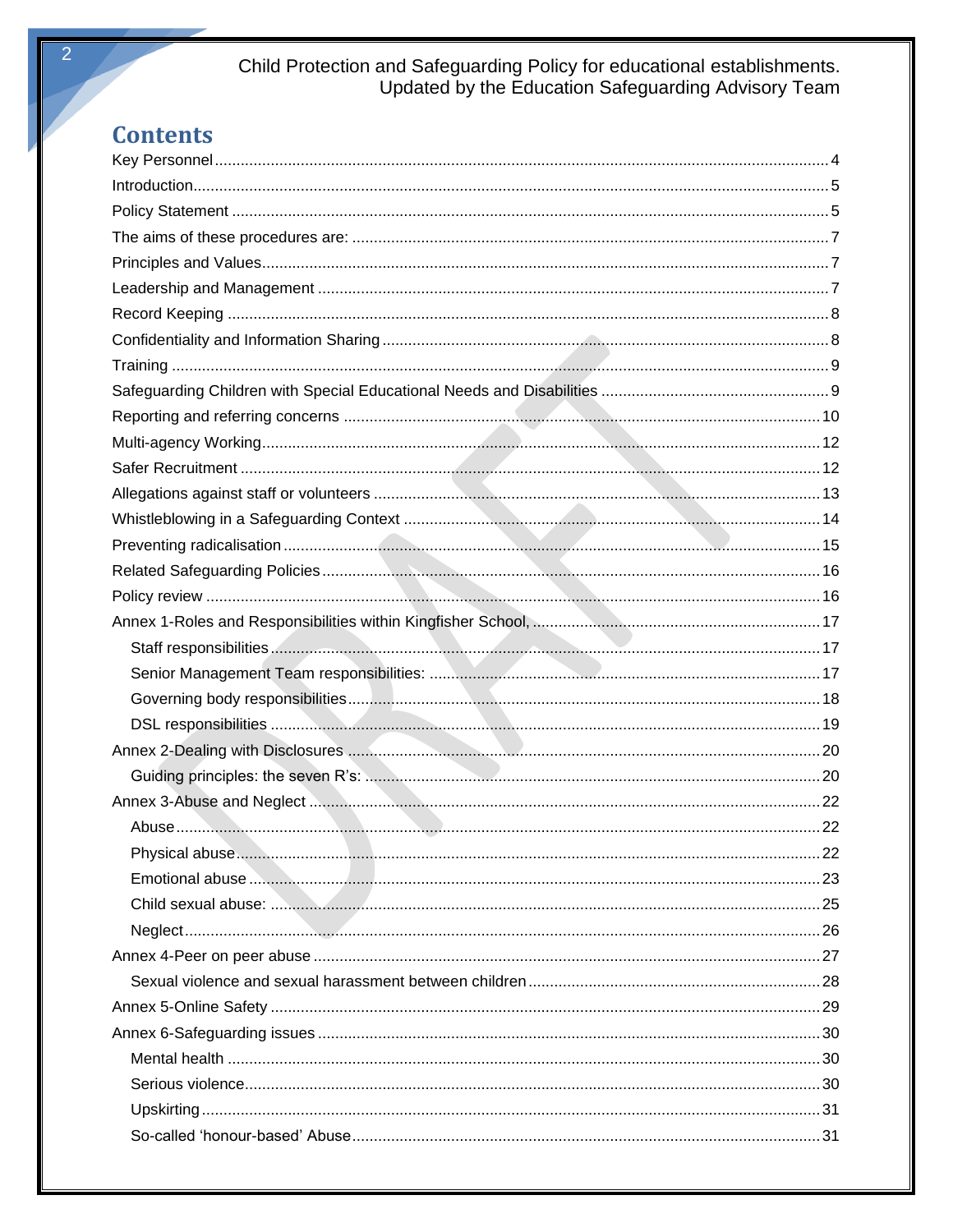# Child Protection and Safeguarding Policy for educational establishments.<br>Updated by the Education Safeguarding Advisory Team

# **Contents**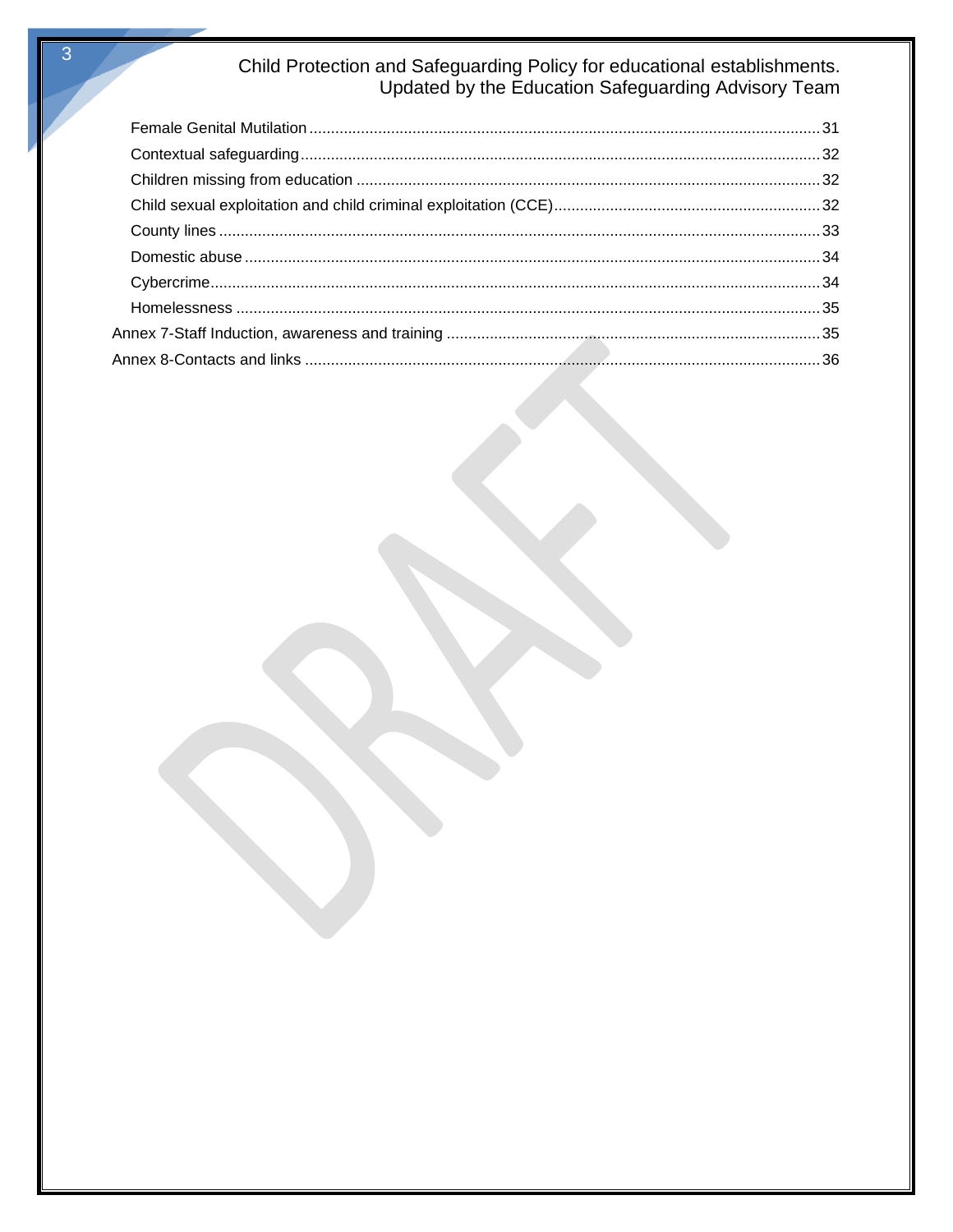# Child Protection and Safeguarding Policy for educational establishments.<br>Updated by the Education Safeguarding Advisory Team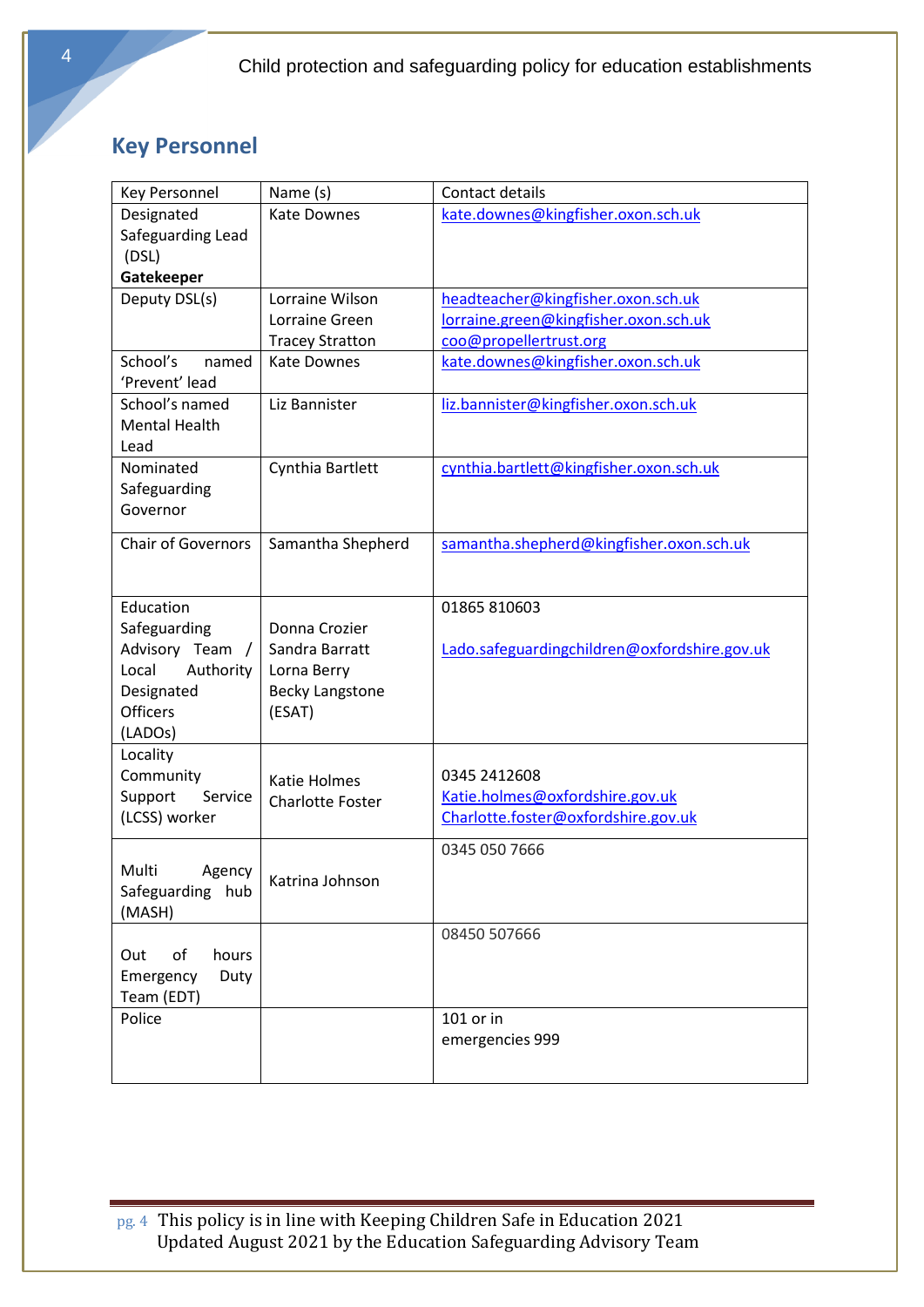# <span id="page-3-0"></span>**Key Personnel**

| Key Personnel             | Name (s)                | Contact details                              |
|---------------------------|-------------------------|----------------------------------------------|
| Designated                | <b>Kate Downes</b>      | kate.downes@kingfisher.oxon.sch.uk           |
| Safeguarding Lead         |                         |                                              |
| (DSL)                     |                         |                                              |
| Gatekeeper                |                         |                                              |
| Deputy DSL(s)             | Lorraine Wilson         | headteacher@kingfisher.oxon.sch.uk           |
|                           | Lorraine Green          | lorraine.green@kingfisher.oxon.sch.uk        |
|                           | <b>Tracey Stratton</b>  | coo@propellertrust.org                       |
| School's<br>named         | <b>Kate Downes</b>      | kate.downes@kingfisher.oxon.sch.uk           |
| 'Prevent' lead            |                         |                                              |
| School's named            | Liz Bannister           | liz.bannister@kingfisher.oxon.sch.uk         |
| <b>Mental Health</b>      |                         |                                              |
| Lead                      |                         |                                              |
| Nominated                 | Cynthia Bartlett        | cynthia.bartlett@kingfisher.oxon.sch.uk      |
| Safeguarding              |                         |                                              |
| Governor                  |                         |                                              |
| <b>Chair of Governors</b> | Samantha Shepherd       | samantha.shepherd@kingfisher.oxon.sch.uk     |
|                           |                         |                                              |
|                           |                         |                                              |
| Education                 |                         | 01865 810603                                 |
| Safeguarding              | Donna Crozier           |                                              |
| Advisory Team /           | Sandra Barratt          | Lado.safeguardingchildren@oxfordshire.gov.uk |
| Authority<br>Local        | Lorna Berry             |                                              |
| Designated                | <b>Becky Langstone</b>  |                                              |
| <b>Officers</b>           | (ESAT)                  |                                              |
| (LADOs)                   |                         |                                              |
| Locality                  |                         |                                              |
| Community                 | Katie Holmes            | 0345 2412608                                 |
| Support<br>Service        | <b>Charlotte Foster</b> | Katie.holmes@oxfordshire.gov.uk              |
| (LCSS) worker             |                         | Charlotte.foster@oxfordshire.gov.uk          |
|                           |                         | 0345 050 7666                                |
| Multi<br>Agency           |                         |                                              |
| Safeguarding hub          | Katrina Johnson         |                                              |
| (MASH)                    |                         |                                              |
|                           |                         | 08450 507666                                 |
| of<br>hours<br>Out        |                         |                                              |
| Emergency<br>Duty         |                         |                                              |
| Team (EDT)                |                         |                                              |
| Police                    |                         | 101 or in                                    |
|                           |                         | emergencies 999                              |
|                           |                         |                                              |
|                           |                         |                                              |

pg. 4 This policy is in line with Keeping Children Safe in Education 2021 Updated August 2021 by the Education Safeguarding Advisory Team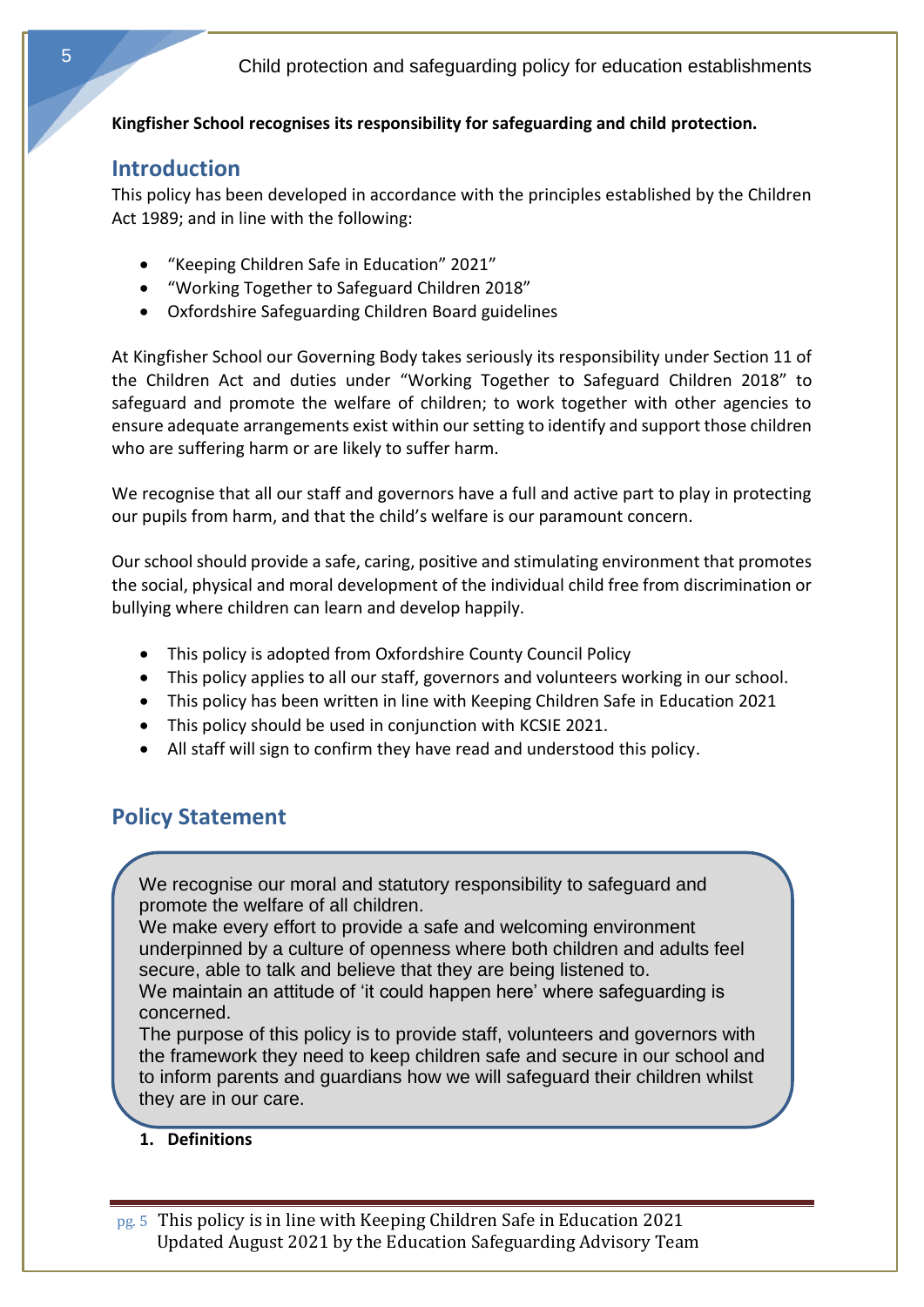# <span id="page-4-0"></span>**Kingfisher School recognises its responsibility for safeguarding and child protection.**

# **Introduction**

This policy has been developed in accordance with the principles established by the Children Act 1989; and in line with the following:

- "Keeping Children Safe in Education" 2021"
- "Working Together to Safeguard Children 2018"
- Oxfordshire Safeguarding Children Board guidelines

At Kingfisher School our Governing Body takes seriously its responsibility under Section 11 of the Children Act and duties under "Working Together to Safeguard Children 2018" to safeguard and promote the welfare of children; to work together with other agencies to ensure adequate arrangements exist within our setting to identify and support those children who are suffering harm or are likely to suffer harm.

We recognise that all our staff and governors have a full and active part to play in protecting our pupils from harm, and that the child's welfare is our paramount concern.

Our school should provide a safe, caring, positive and stimulating environment that promotes the social, physical and moral development of the individual child free from discrimination or bullying where children can learn and develop happily.

- This policy is adopted from Oxfordshire County Council Policy
- This policy applies to all our staff, governors and volunteers working in our school.
- This policy has been written in line with Keeping Children Safe in Education 2021
- <span id="page-4-1"></span>• This policy should be used in conjunction with KCSIE 2021.
- All staff will sign to confirm they have read and understood this policy.

# **Policy Statement**

We recognise our moral and statutory responsibility to safeguard and promote the welfare of all children.

We make every effort to provide a safe and welcoming environment underpinned by a culture of openness where both children and adults feel secure, able to talk and believe that they are being listened to. We maintain an attitude of 'it could happen here' where safeguarding is concerned.

The purpose of this policy is to provide staff, volunteers and governors with the framework they need to keep children safe and secure in our school and to inform parents and guardians how we will safeguard their children whilst they are in our care.

## **1. Definitions**

pg. 5 This policy is in line with Keeping Children Safe in Education 2021 Updated August 2021 by the Education Safeguarding Advisory Team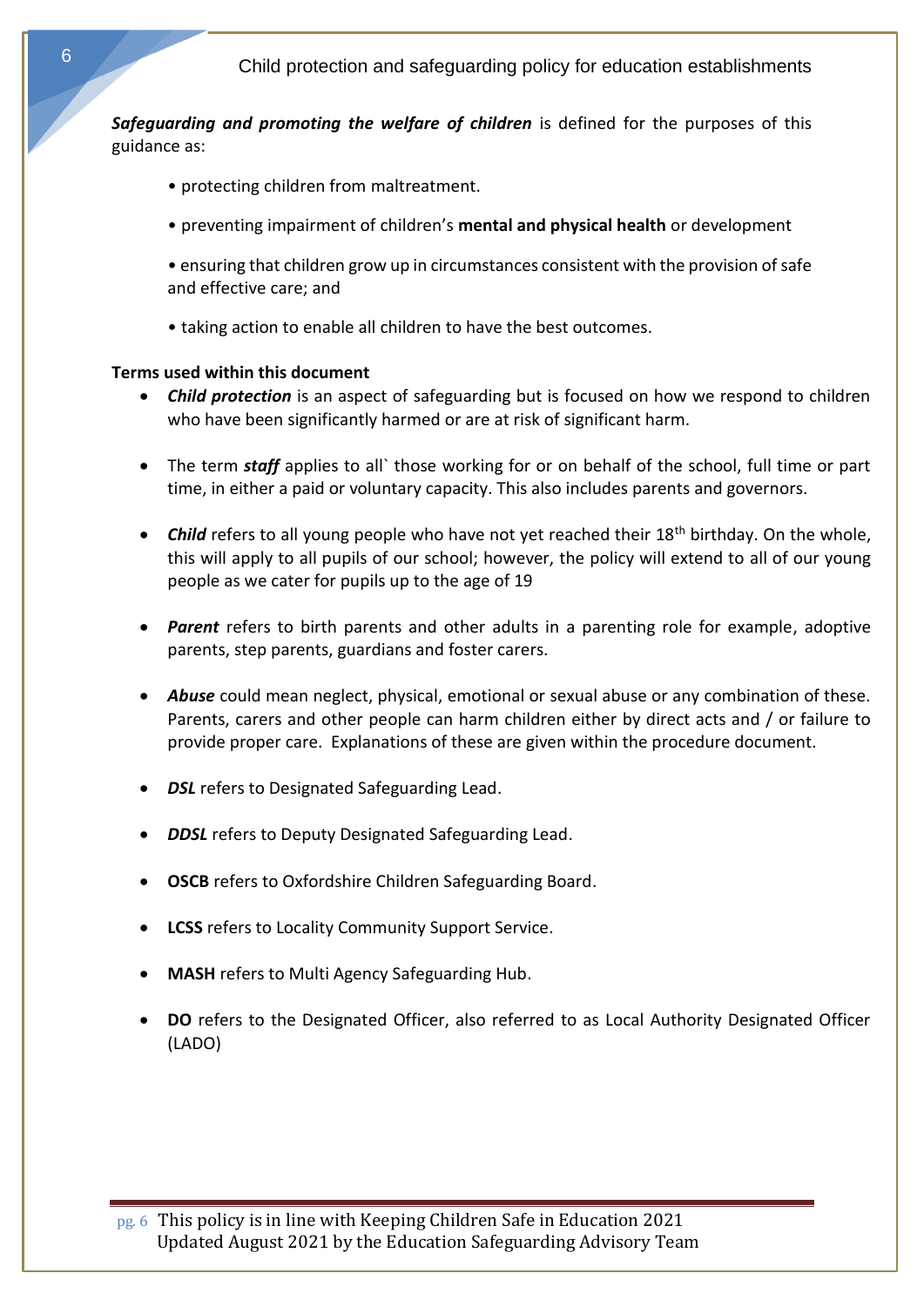*Safeguarding and promoting the welfare of children* is defined for the purposes of this guidance as:

- protecting children from maltreatment.
- preventing impairment of children's **mental and physical health** or development
- ensuring that children grow up in circumstances consistent with the provision of safe and effective care; and
- taking action to enable all children to have the best outcomes.

#### **Terms used within this document**

- *Child protection* is an aspect of safeguarding but is focused on how we respond to children who have been significantly harmed or are at risk of significant harm.
- The term *staff* applies to all` those working for or on behalf of the school, full time or part time, in either a paid or voluntary capacity. This also includes parents and governors.
- *Child* refers to all young people who have not yet reached their 18<sup>th</sup> birthday. On the whole, this will apply to all pupils of our school; however, the policy will extend to all of our young people as we cater for pupils up to the age of 19
- **Parent** refers to birth parents and other adults in a parenting role for example, adoptive parents, step parents, guardians and foster carers.
- *Abuse* could mean neglect, physical, emotional or sexual abuse or any combination of these. Parents, carers and other people can harm children either by direct acts and / or failure to provide proper care. Explanations of these are given within the procedure document.
- *DSL* refers to Designated Safeguarding Lead.
- *DDSL* refers to Deputy Designated Safeguarding Lead.
- **OSCB** refers to Oxfordshire Children Safeguarding Board.
- **LCSS** refers to Locality Community Support Service.
- **MASH** refers to Multi Agency Safeguarding Hub.
- **DO** refers to the Designated Officer, also referred to as Local Authority Designated Officer (LADO)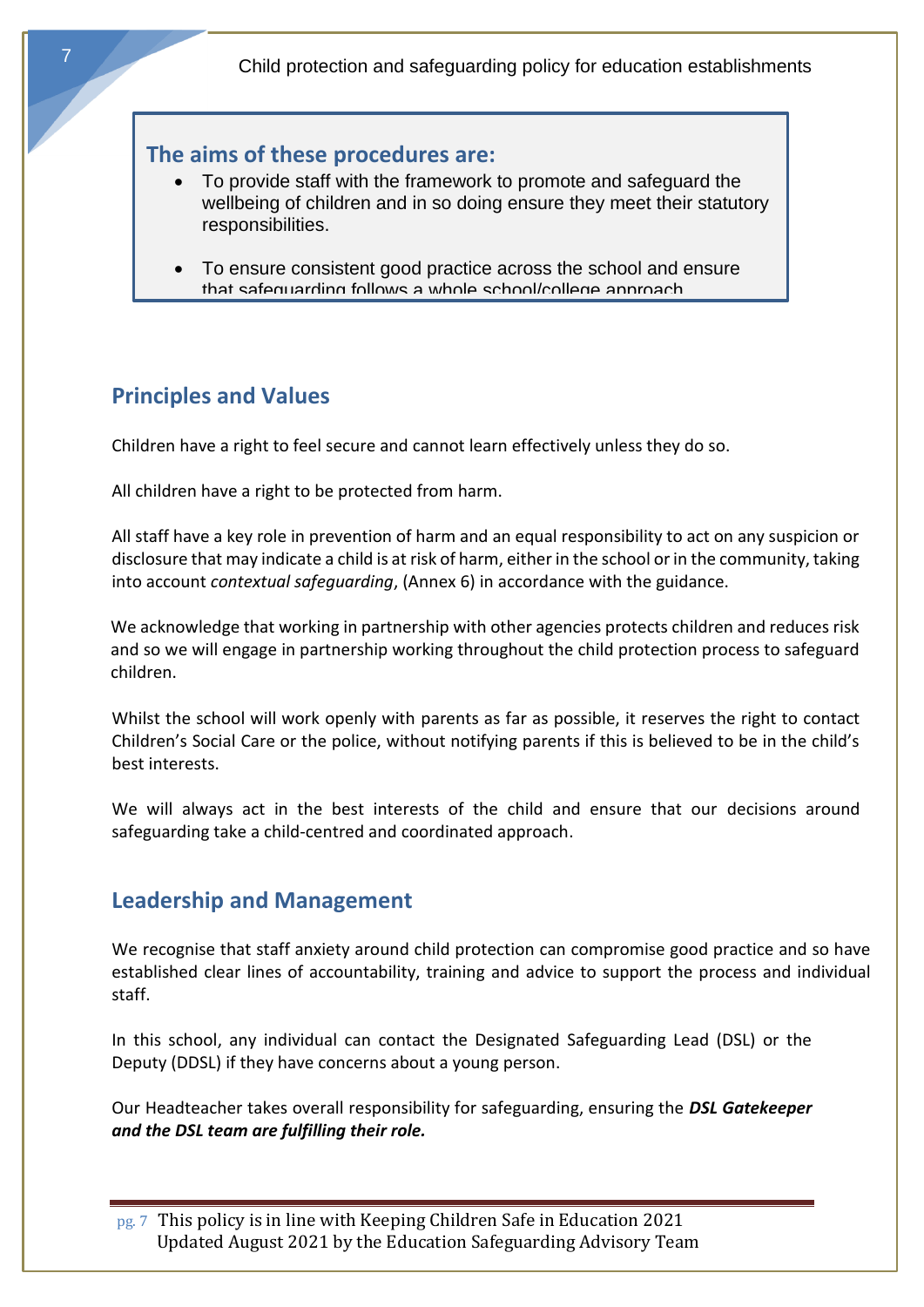# **The aims of these procedures are:**

- To provide staff with the framework to promote and safeguard the wellbeing of children and in so doing ensure they meet their statutory responsibilities.
- <span id="page-6-0"></span>• To ensure consistent good practice across the school and ensure that safeguarding follows a whole school/college approach.

# **Principles and Values**

Children have a right to feel secure and cannot learn effectively unless they do so.

All children have a right to be protected from harm.

All staff have a key role in prevention of harm and an equal responsibility to act on any suspicion or disclosure that may indicate a child is at risk of harm, either in the school or in the community, taking into account *contextual safeguarding*, (Annex 6) in accordance with the guidance.

We acknowledge that working in partnership with other agencies protects children and reduces risk and so we will engage in partnership working throughout the child protection process to safeguard children.

Whilst the school will work openly with parents as far as possible, it reserves the right to contact Children's Social Care or the police, without notifying parents if this is believed to be in the child's best interests.

<span id="page-6-1"></span>We will always act in the best interests of the child and ensure that our decisions around safeguarding take a child-centred and coordinated approach.

# **Leadership and Management**

We recognise that staff anxiety around child protection can compromise good practice and so have established clear lines of accountability, training and advice to support the process and individual staff.

In this school, any individual can contact the Designated Safeguarding Lead (DSL) or the Deputy (DDSL) if they have concerns about a young person.

Our Headteacher takes overall responsibility for safeguarding, ensuring the *DSL Gatekeeper and the DSL team are fulfilling their role.*

pg. 7 This policy is in line with Keeping Children Safe in Education 2021 Updated August 2021 by the Education Safeguarding Advisory Team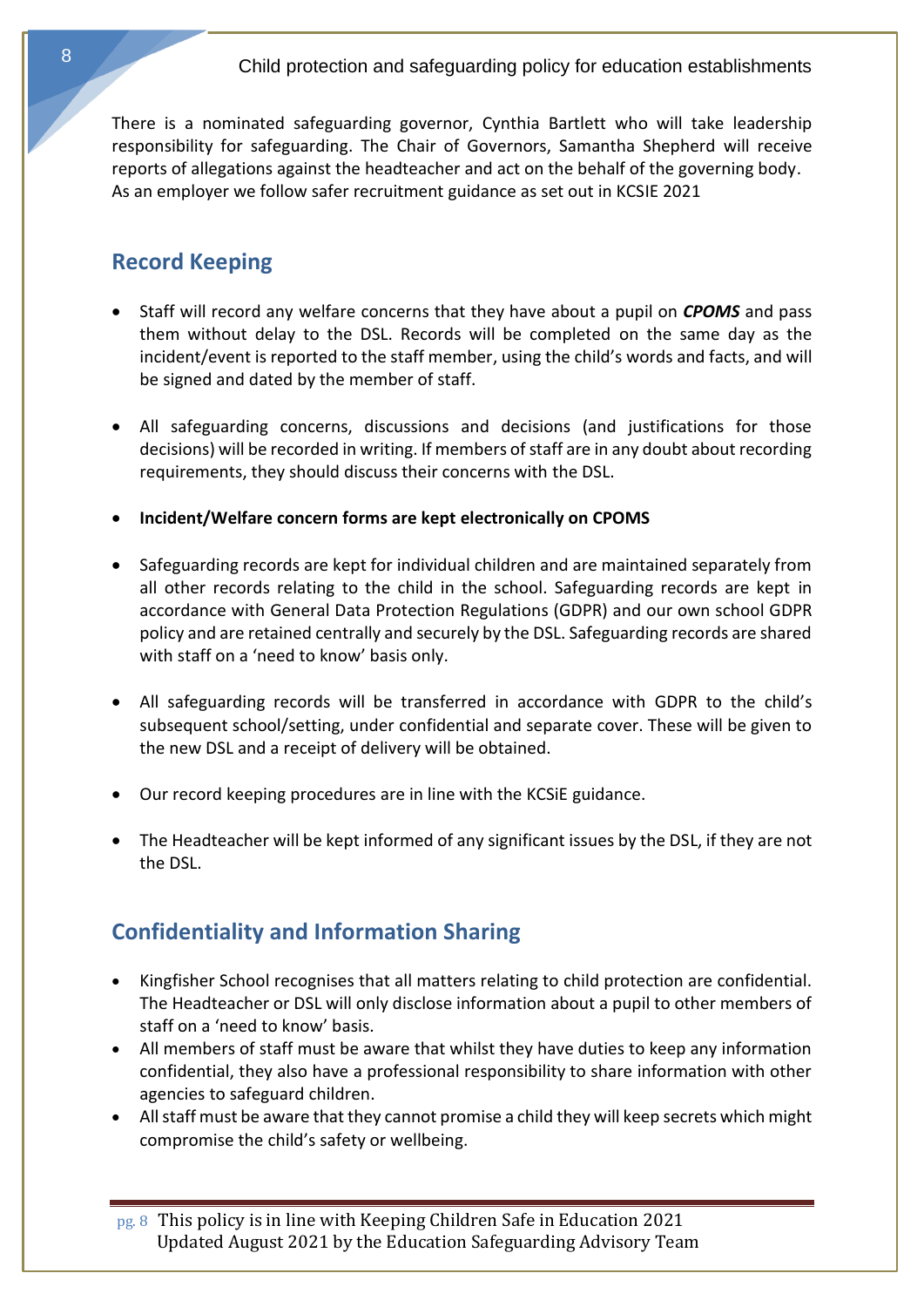<span id="page-7-0"></span>There is a nominated safeguarding governor, Cynthia Bartlett who will take leadership responsibility for safeguarding. The Chair of Governors, Samantha Shepherd will receive reports of allegations against the headteacher and act on the behalf of the governing body. As an employer we follow safer recruitment guidance as set out in KCSIE 2021

# **Record Keeping**

- Staff will record any welfare concerns that they have about a pupil on *CPOMS* and pass them without delay to the DSL. Records will be completed on the same day as the incident/event is reported to the staff member, using the child's words and facts, and will be signed and dated by the member of staff.
- All safeguarding concerns, discussions and decisions (and justifications for those decisions) will be recorded in writing. If members of staff are in any doubt about recording requirements, they should discuss their concerns with the DSL.
- **Incident/Welfare concern forms are kept electronically on CPOMS**
- Safeguarding records are kept for individual children and are maintained separately from all other records relating to the child in the school. Safeguarding records are kept in accordance with General Data Protection Regulations (GDPR) and our own school GDPR policy and are retained centrally and securely by the DSL. Safeguarding records are shared with staff on a 'need to know' basis only.
- All safeguarding records will be transferred in accordance with GDPR to the child's subsequent school/setting, under confidential and separate cover. These will be given to the new DSL and a receipt of delivery will be obtained.
- Our record keeping procedures are in line with the KCSiE guidance.
- <span id="page-7-1"></span>• The Headteacher will be kept informed of any significant issues by the DSL, if they are not the DSL.

# **Confidentiality and Information Sharing**

- Kingfisher School recognises that all matters relating to child protection are confidential. The Headteacher or DSL will only disclose information about a pupil to other members of staff on a 'need to know' basis.
- All members of staff must be aware that whilst they have duties to keep any information confidential, they also have a professional responsibility to share information with other agencies to safeguard children.
- All staff must be aware that they cannot promise a child they will keep secrets which might compromise the child's safety or wellbeing.

pg. 8 This policy is in line with Keeping Children Safe in Education 2021 Updated August 2021 by the Education Safeguarding Advisory Team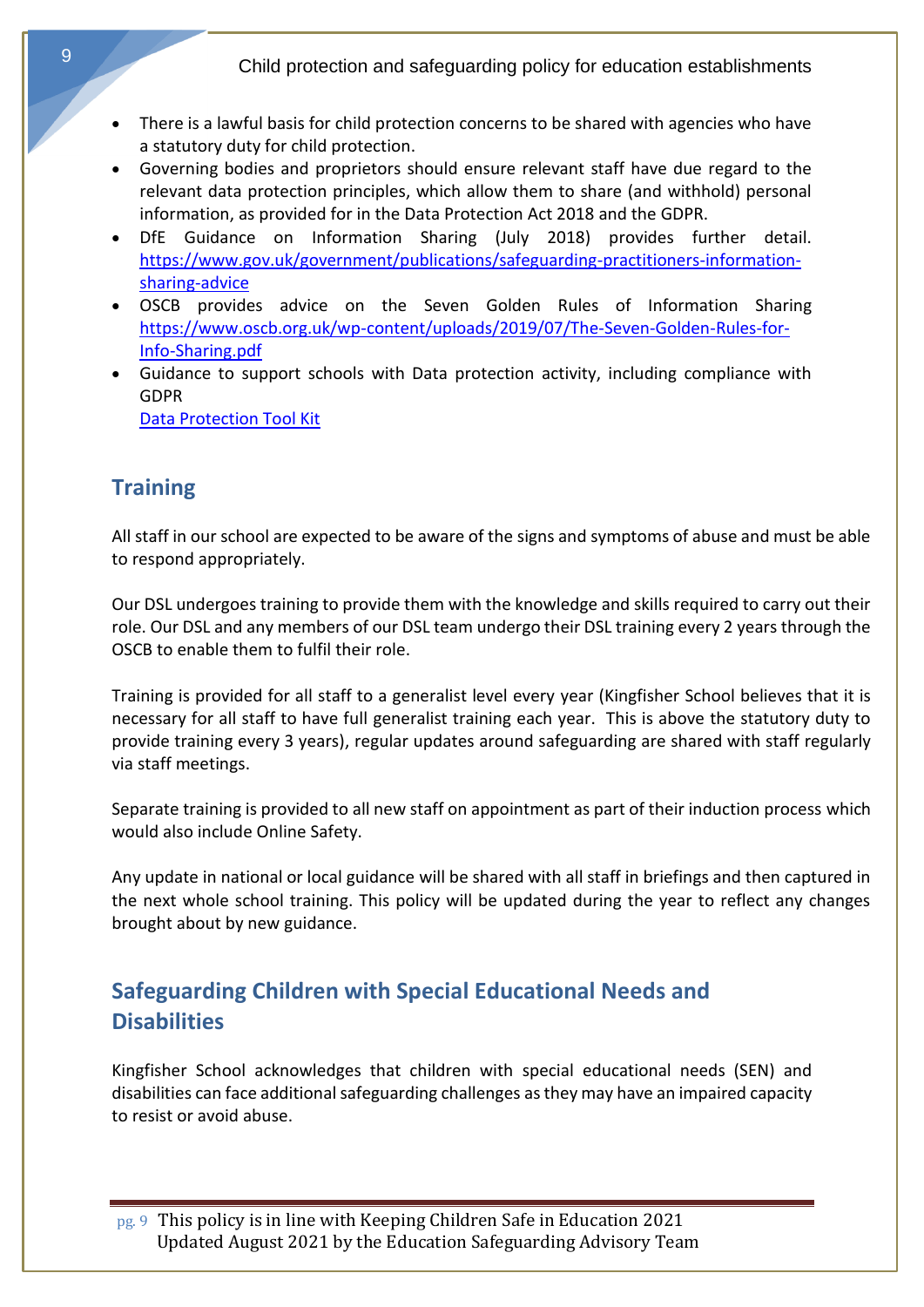- There is a lawful basis for child protection concerns to be shared with agencies who have a statutory duty for child protection.
- Governing bodies and proprietors should ensure relevant staff have due regard to the relevant data protection principles, which allow them to share (and withhold) personal information, as provided for in the Data Protection Act 2018 and the GDPR.
- DfE Guidance on Information Sharing (July 2018) provides further detail. [https://www.gov.uk/government/publications/safeguarding-practitioners-information](https://www.gov.uk/government/publications/safeguarding-practitioners-information-sharing-advice)[sharing-advice](https://www.gov.uk/government/publications/safeguarding-practitioners-information-sharing-advice)
- OSCB provides advice on the Seven Golden Rules of Information Sharing [https://www.oscb.org.uk/wp-content/uploads/2019/07/The-Seven-Golden-Rules-for-](https://www.oscb.org.uk/wp-content/uploads/2019/07/The-Seven-Golden-Rules-for-Info-Sharing.pdf)[Info-Sharing.pdf](https://www.oscb.org.uk/wp-content/uploads/2019/07/The-Seven-Golden-Rules-for-Info-Sharing.pdf)
- <span id="page-8-0"></span>• Guidance to support schools with Data protection activity, including compliance with GDPR

[Data Protection Tool Kit](https://www.gov.uk/government/publications/data-protection-toolkit-for-schools) 

# **Training**

All staff in our school are expected to be aware of the signs and symptoms of abuse and must be able to respond appropriately.

Our DSL undergoes training to provide them with the knowledge and skills required to carry out their role. Our DSL and any members of our DSL team undergo their DSL training every 2 years through the OSCB to enable them to fulfil their role.

Training is provided for all staff to a generalist level every year (Kingfisher School believes that it is necessary for all staff to have full generalist training each year. This is above the statutory duty to provide training every 3 years), regular updates around safeguarding are shared with staff regularly via staff meetings.

Separate training is provided to all new staff on appointment as part of their induction process which would also include Online Safety.

<span id="page-8-1"></span>Any update in national or local guidance will be shared with all staff in briefings and then captured in the next whole school training. This policy will be updated during the year to reflect any changes brought about by new guidance.

# **Safeguarding Children with Special Educational Needs and Disabilities**

Kingfisher School acknowledges that children with special educational needs (SEN) and disabilities can face additional safeguarding challenges as they may have an impaired capacity to resist or avoid abuse.

pg. 9 This policy is in line with Keeping Children Safe in Education 2021 Updated August 2021 by the Education Safeguarding Advisory Team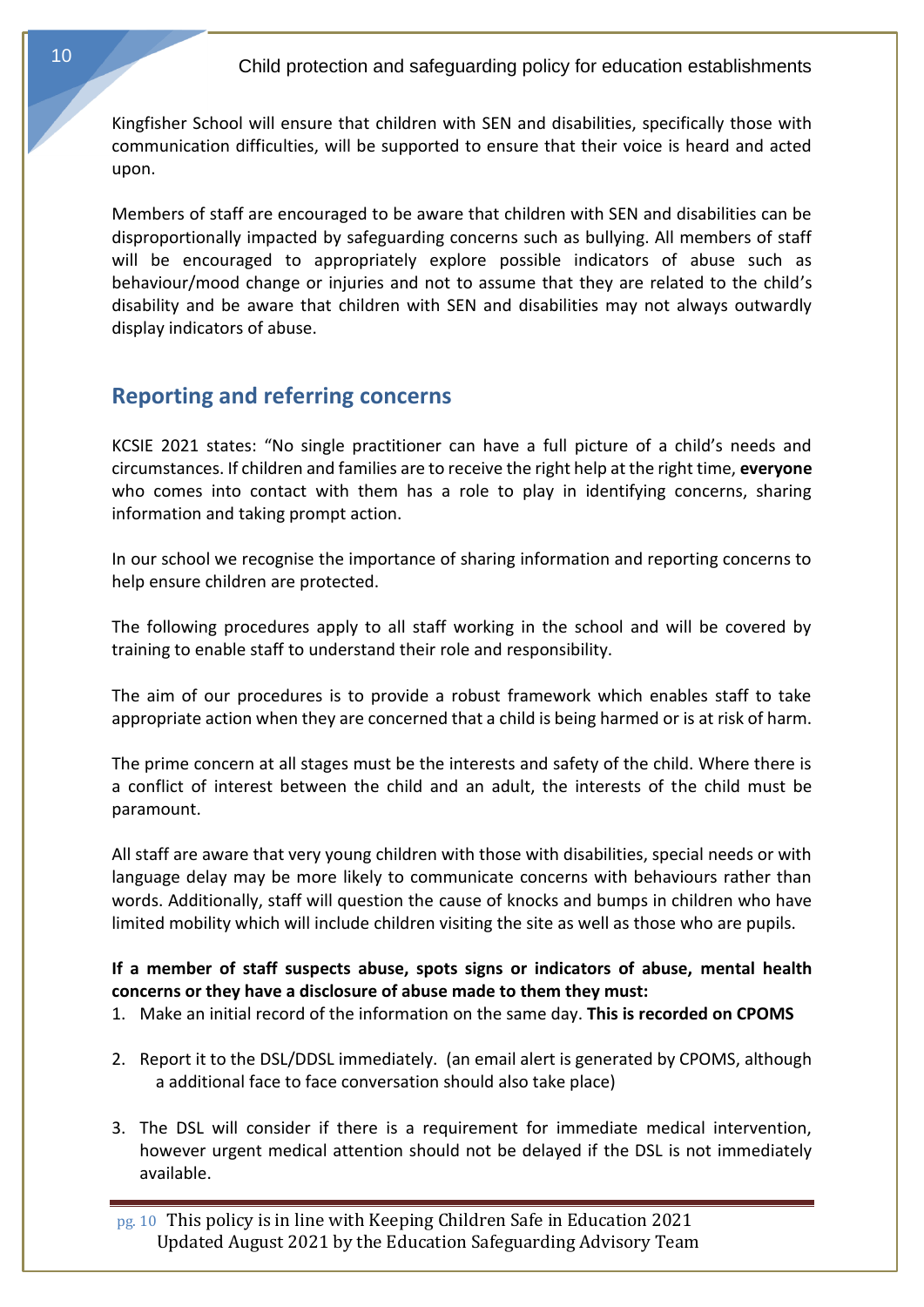Kingfisher School will ensure that children with SEN and disabilities, specifically those with communication difficulties, will be supported to ensure that their voice is heard and acted upon.

<span id="page-9-0"></span>Members of staff are encouraged to be aware that children with SEN and disabilities can be disproportionally impacted by safeguarding concerns such as bullying. All members of staff will be encouraged to appropriately explore possible indicators of abuse such as behaviour/mood change or injuries and not to assume that they are related to the child's disability and be aware that children with SEN and disabilities may not always outwardly display indicators of abuse.

# **Reporting and referring concerns**

KCSIE 2021 states: "No single practitioner can have a full picture of a child's needs and circumstances. If children and families are to receive the right help at the right time, **everyone**  who comes into contact with them has a role to play in identifying concerns, sharing information and taking prompt action.

In our school we recognise the importance of sharing information and reporting concerns to help ensure children are protected.

The following procedures apply to all staff working in the school and will be covered by training to enable staff to understand their role and responsibility.

The aim of our procedures is to provide a robust framework which enables staff to take appropriate action when they are concerned that a child is being harmed or is at risk of harm.

The prime concern at all stages must be the interests and safety of the child. Where there is a conflict of interest between the child and an adult, the interests of the child must be paramount.

All staff are aware that very young children with those with disabilities, special needs or with language delay may be more likely to communicate concerns with behaviours rather than words. Additionally, staff will question the cause of knocks and bumps in children who have limited mobility which will include children visiting the site as well as those who are pupils.

## **If a member of staff suspects abuse, spots signs or indicators of abuse, mental health concerns or they have a disclosure of abuse made to them they must:**

- 1. Make an initial record of the information on the same day. **This is recorded on CPOMS**
- 2. Report it to the DSL/DDSL immediately. (an email alert is generated by CPOMS, although a additional face to face conversation should also take place)
- 3. The DSL will consider if there is a requirement for immediate medical intervention, however urgent medical attention should not be delayed if the DSL is not immediately available.

pg. 10 This policy is in line with Keeping Children Safe in Education 2021 Updated August 2021 by the Education Safeguarding Advisory Team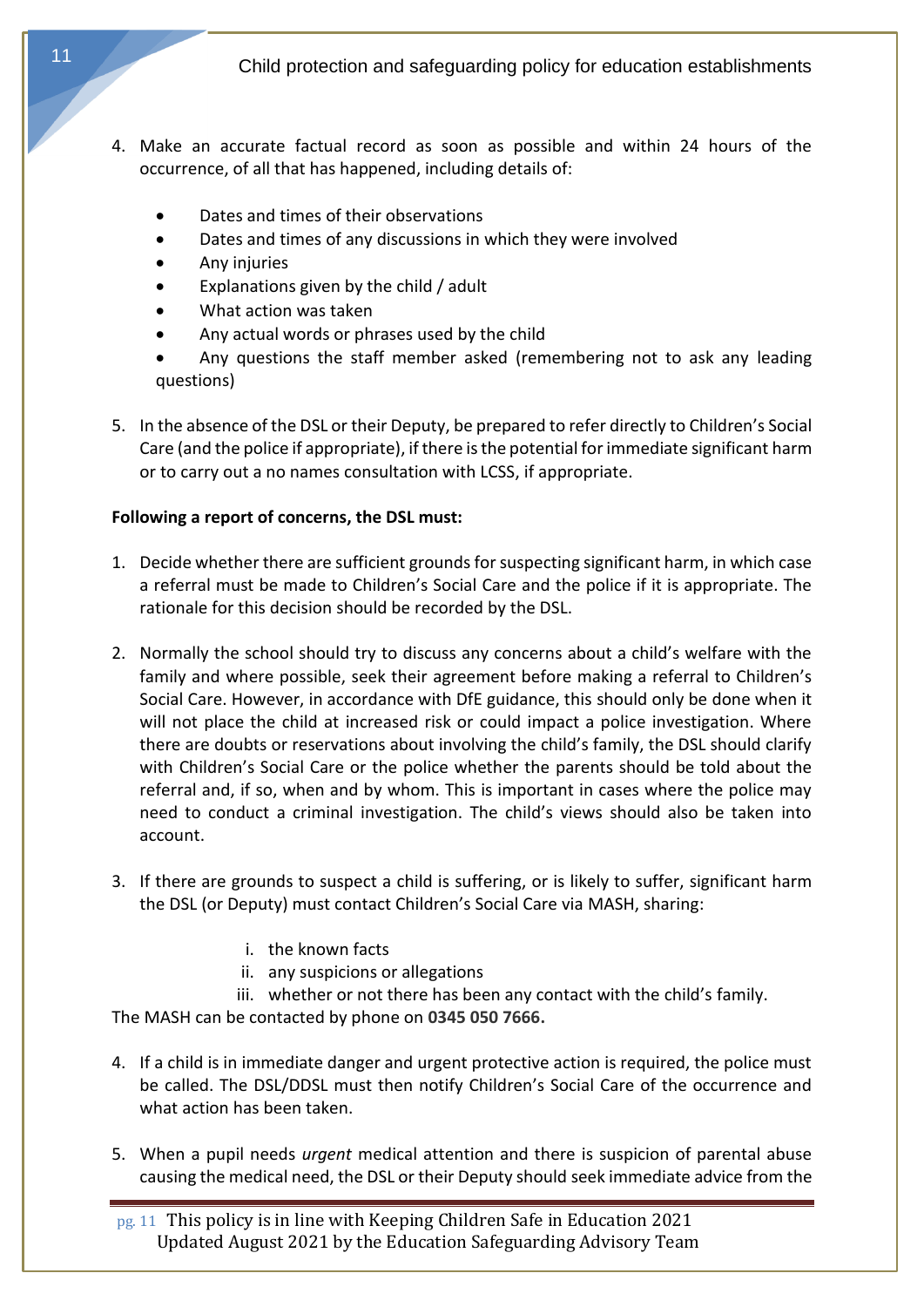- 4. Make an accurate factual record as soon as possible and within 24 hours of the occurrence, of all that has happened, including details of:
	- Dates and times of their observations
	- Dates and times of any discussions in which they were involved
	- Any injuries
	- Explanations given by the child / adult
	- What action was taken
	- Any actual words or phrases used by the child
	- Any questions the staff member asked (remembering not to ask any leading questions)
- 5. In the absence of the DSL or their Deputy, be prepared to refer directly to Children's Social Care (and the police if appropriate), if there is the potential for immediate significant harm or to carry out a no names consultation with LCSS, if appropriate.

## **Following a report of concerns, the DSL must:**

- 1. Decide whether there are sufficient grounds for suspecting significant harm, in which case a referral must be made to Children's Social Care and the police if it is appropriate. The rationale for this decision should be recorded by the DSL.
- 2. Normally the school should try to discuss any concerns about a child's welfare with the family and where possible, seek their agreement before making a referral to Children's Social Care. However, in accordance with DfE guidance, this should only be done when it will not place the child at increased risk or could impact a police investigation. Where there are doubts or reservations about involving the child's family, the DSL should clarify with Children's Social Care or the police whether the parents should be told about the referral and, if so, when and by whom. This is important in cases where the police may need to conduct a criminal investigation. The child's views should also be taken into account.
- 3. If there are grounds to suspect a child is suffering, or is likely to suffer, significant harm the DSL (or Deputy) must contact Children's Social Care via MASH, sharing:
	- i. the known facts
	- ii. any suspicions or allegations

iii. whether or not there has been any contact with the child's family. The MASH can be contacted by phone on **0345 050 7666.**

- 4. If a child is in immediate danger and urgent protective action is required, the police must be called. The DSL/DDSL must then notify Children's Social Care of the occurrence and what action has been taken.
- 5. When a pupil needs *urgent* medical attention and there is suspicion of parental abuse causing the medical need, the DSL or their Deputy should seek immediate advice from the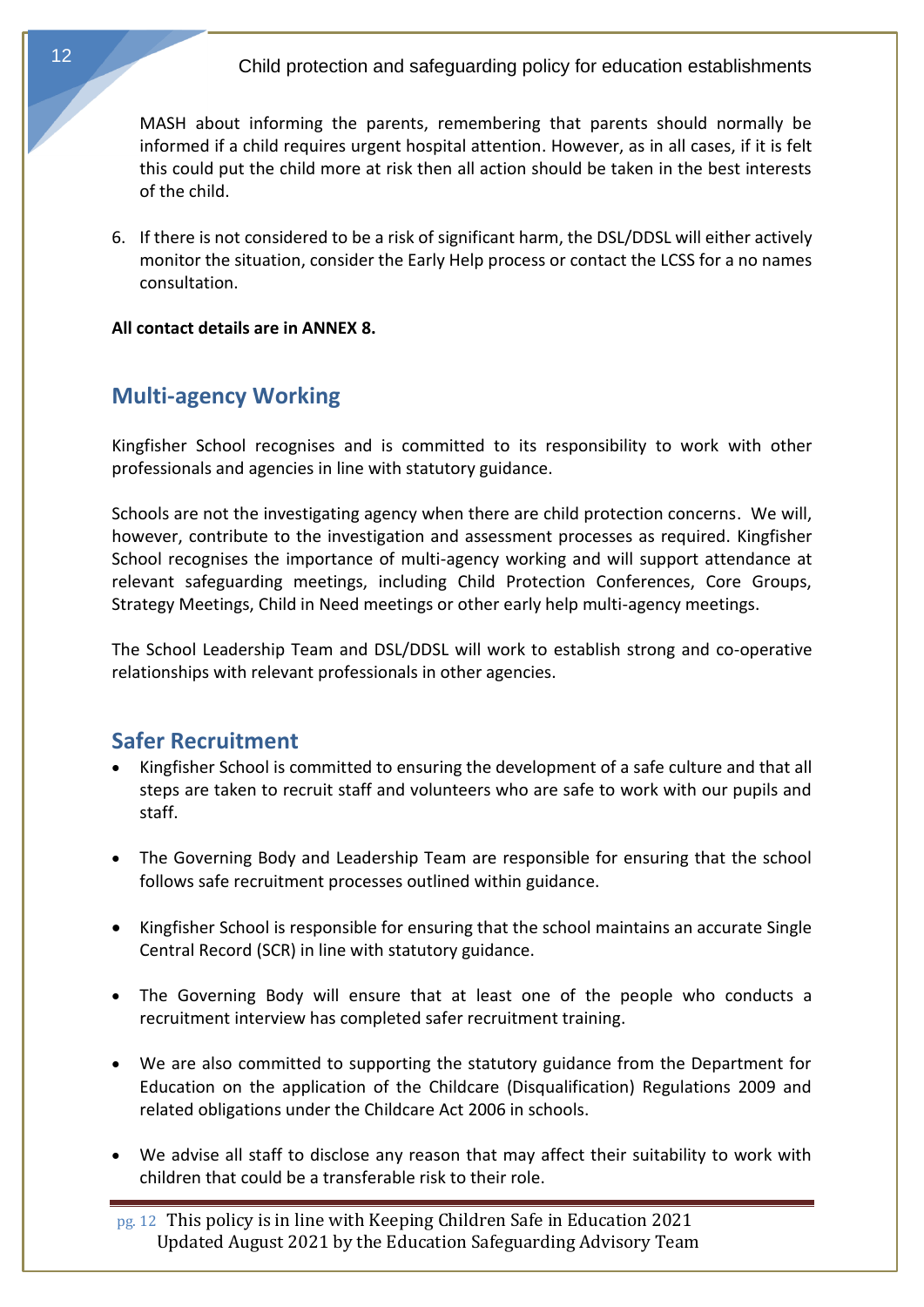MASH about informing the parents, remembering that parents should normally be informed if a child requires urgent hospital attention. However, as in all cases, if it is felt this could put the child more at risk then all action should be taken in the best interests of the child.

6. If there is not considered to be a risk of significant harm, the DSL/DDSL will either actively monitor the situation, consider the Early Help process or contact the LCSS for a no names consultation.

<span id="page-11-0"></span>**All contact details are in ANNEX 8.**

# **Multi-agency Working**

Kingfisher School recognises and is committed to its responsibility to work with other professionals and agencies in line with statutory guidance.

Schools are not the investigating agency when there are child protection concerns. We will, however, contribute to the investigation and assessment processes as required. Kingfisher School recognises the importance of multi-agency working and will support attendance at relevant safeguarding meetings, including Child Protection Conferences, Core Groups, Strategy Meetings, Child in Need meetings or other early help multi-agency meetings.

<span id="page-11-1"></span>The School Leadership Team and DSL/DDSL will work to establish strong and co-operative relationships with relevant professionals in other agencies.

# **Safer Recruitment**

- Kingfisher School is committed to ensuring the development of a safe culture and that all steps are taken to recruit staff and volunteers who are safe to work with our pupils and staff.
- The Governing Body and Leadership Team are responsible for ensuring that the school follows safe recruitment processes outlined within guidance.
- Kingfisher School is responsible for ensuring that the school maintains an accurate Single Central Record (SCR) in line with statutory guidance.
- The Governing Body will ensure that at least one of the people who conducts a recruitment interview has completed safer recruitment training.
- We are also committed to supporting the statutory guidance from the Department for Education on the application of the Childcare (Disqualification) Regulations 2009 and related obligations under the Childcare Act 2006 in schools.
- We advise all staff to disclose any reason that may affect their suitability to work with children that could be a transferable risk to their role.

pg. 12 This policy is in line with Keeping Children Safe in Education 2021 Updated August 2021 by the Education Safeguarding Advisory Team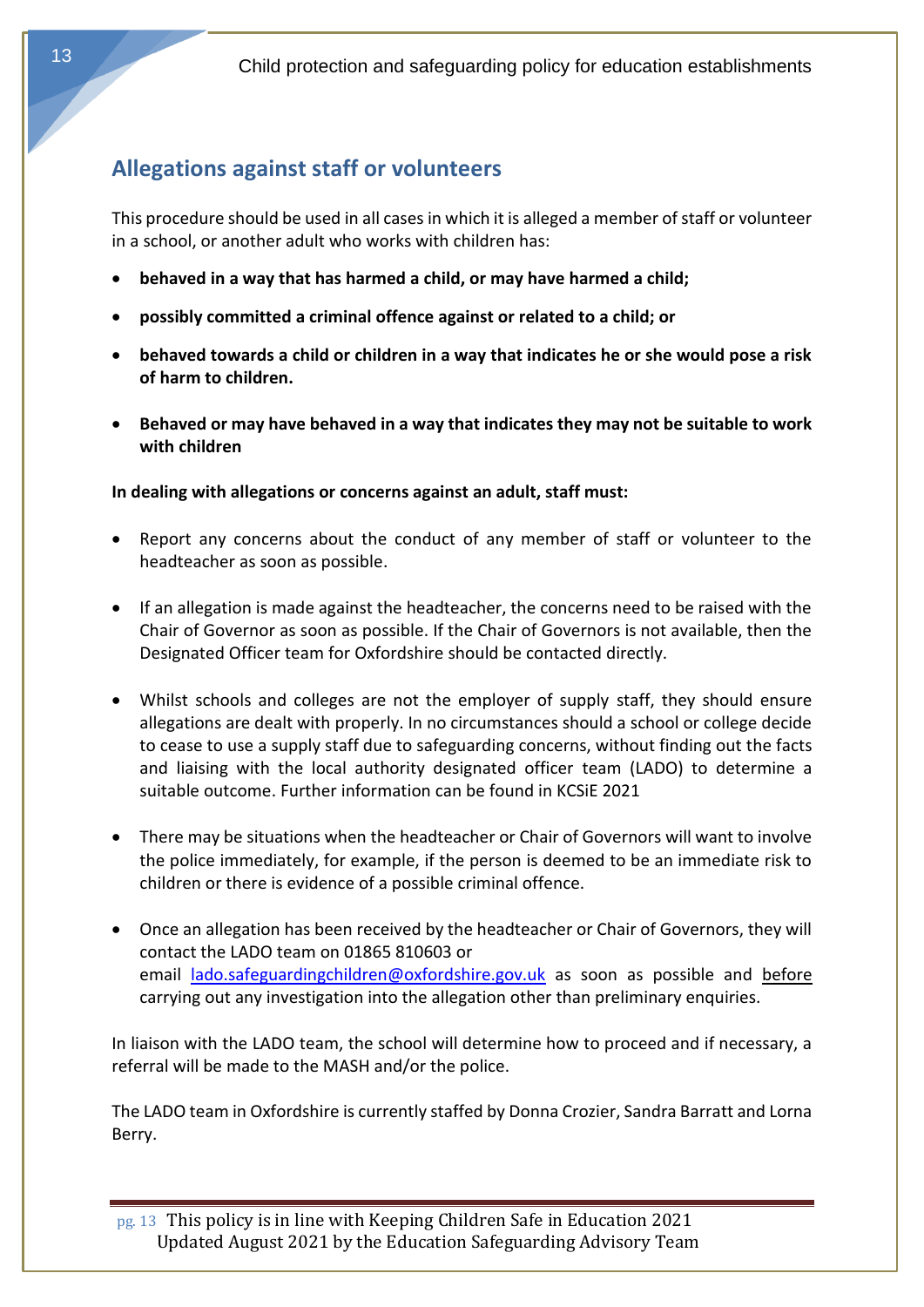# <span id="page-12-0"></span>**Allegations against staff or volunteers**

This procedure should be used in all cases in which it is alleged a member of staff or volunteer in a school, or another adult who works with children has:

- **behaved in a way that has harmed a child, or may have harmed a child;**
- **possibly committed a criminal offence against or related to a child; or**
- **behaved towards a child or children in a way that indicates he or she would pose a risk of harm to children.**
- **Behaved or may have behaved in a way that indicates they may not be suitable to work with children**

## **In dealing with allegations or concerns against an adult, staff must:**

- Report any concerns about the conduct of any member of staff or volunteer to the headteacher as soon as possible.
- If an allegation is made against the headteacher, the concerns need to be raised with the Chair of Governor as soon as possible. If the Chair of Governors is not available, then the Designated Officer team for Oxfordshire should be contacted directly.
- Whilst schools and colleges are not the employer of supply staff, they should ensure allegations are dealt with properly. In no circumstances should a school or college decide to cease to use a supply staff due to safeguarding concerns, without finding out the facts and liaising with the local authority designated officer team (LADO) to determine a suitable outcome. Further information can be found in KCSiE 2021
- There may be situations when the headteacher or Chair of Governors will want to involve the police immediately, for example, if the person is deemed to be an immediate risk to children or there is evidence of a possible criminal offence.
- Once an allegation has been received by the headteacher or Chair of Governors, they will contact the LADO team on 01865 810603 or email [lado.safeguardingchildren@oxfordshire.gov.uk](mailto:lado.safeguardingchildren@oxfordshire.gov.uk) as soon as possible and before carrying out any investigation into the allegation other than preliminary enquiries.

In liaison with the LADO team, the school will determine how to proceed and if necessary, a referral will be made to the MASH and/or the police.

The LADO team in Oxfordshire is currently staffed by Donna Crozier, Sandra Barratt and Lorna Berry.

pg. 13 This policy is in line with Keeping Children Safe in Education 2021 Updated August 2021 by the Education Safeguarding Advisory Team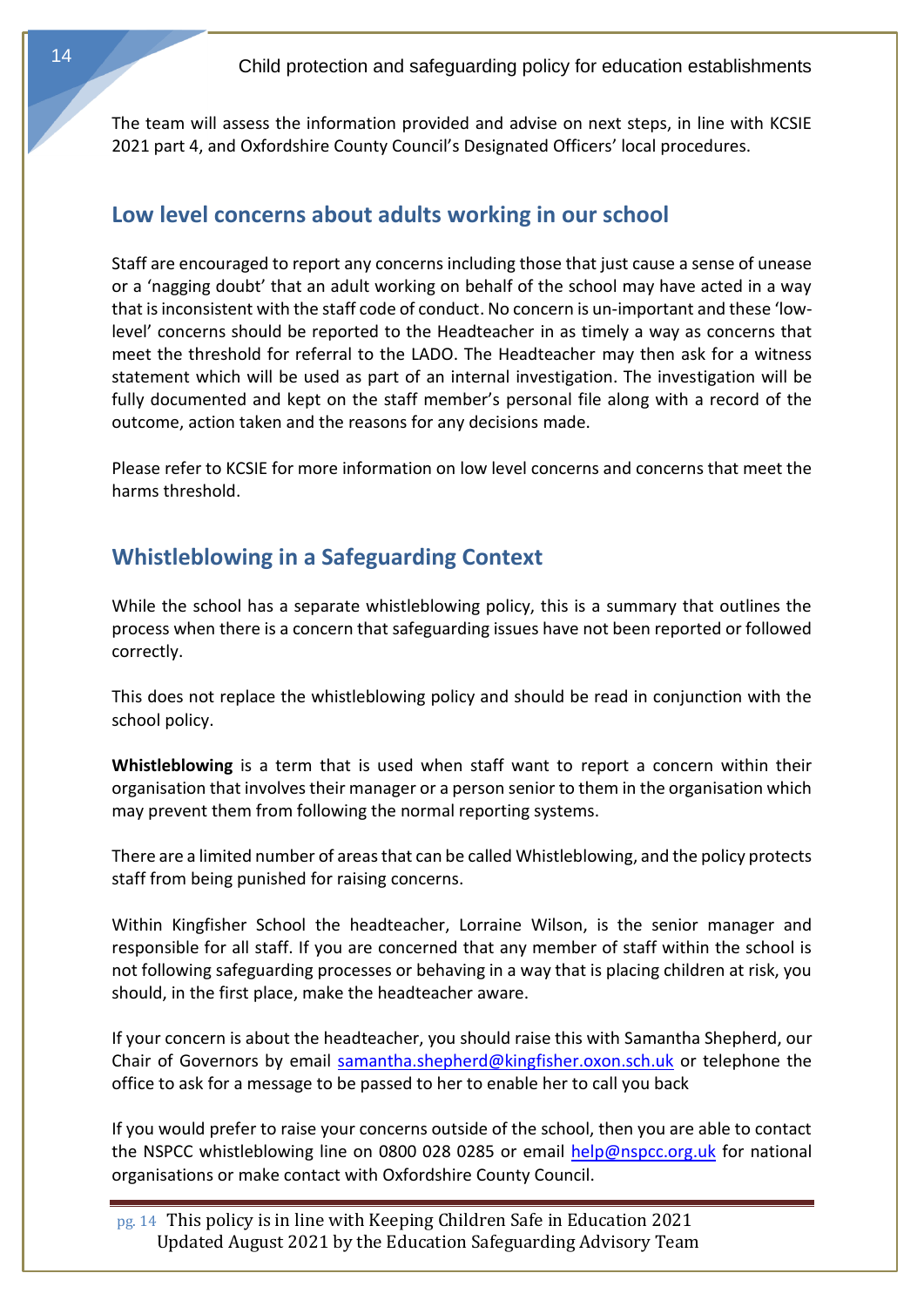The team will assess the information provided and advise on next steps, in line with KCSIE 2021 part 4, and Oxfordshire County Council's Designated Officers' local procedures.

# **Low level concerns about adults working in our school**

Staff are encouraged to report any concerns including those that just cause a sense of unease or a 'nagging doubt' that an adult working on behalf of the school may have acted in a way that is inconsistent with the staff code of conduct. No concern is un-important and these 'lowlevel' concerns should be reported to the Headteacher in as timely a way as concerns that meet the threshold for referral to the LADO. The Headteacher may then ask for a witness statement which will be used as part of an internal investigation. The investigation will be fully documented and kept on the staff member's personal file along with a record of the outcome, action taken and the reasons for any decisions made.

<span id="page-13-0"></span>Please refer to KCSIE for more information on low level concerns and concerns that meet the harms threshold.

# **Whistleblowing in a Safeguarding Context**

While the school has a separate whistleblowing policy, this is a summary that outlines the process when there is a concern that safeguarding issues have not been reported or followed correctly.

This does not replace the whistleblowing policy and should be read in conjunction with the school policy.

**Whistleblowing** is a term that is used when staff want to report a concern within their organisation that involves their manager or a person senior to them in the organisation which may prevent them from following the normal reporting systems.

There are a limited number of areas that can be called Whistleblowing, and the policy protects staff from being punished for raising concerns.

Within Kingfisher School the headteacher, Lorraine Wilson, is the senior manager and responsible for all staff. If you are concerned that any member of staff within the school is not following safeguarding processes or behaving in a way that is placing children at risk, you should, in the first place, make the headteacher aware.

If your concern is about the headteacher, you should raise this with Samantha Shepherd, our Chair of Governors by email [samantha.shepherd@kingfisher.oxon.sch.uk](mailto:samantha.shepherd@kingfisher.oxon.sch.uk) or telephone the office to ask for a message to be passed to her to enable her to call you back

If you would prefer to raise your concerns outside of the school, then you are able to contact the NSPCC whistleblowing line on 0800 028 0285 or email [help@nspcc.org.uk](mailto:help@nspcc.org.uk) for national organisations or make contact with Oxfordshire County Council.

pg. 14 This policy is in line with Keeping Children Safe in Education 2021 Updated August 2021 by the Education Safeguarding Advisory Team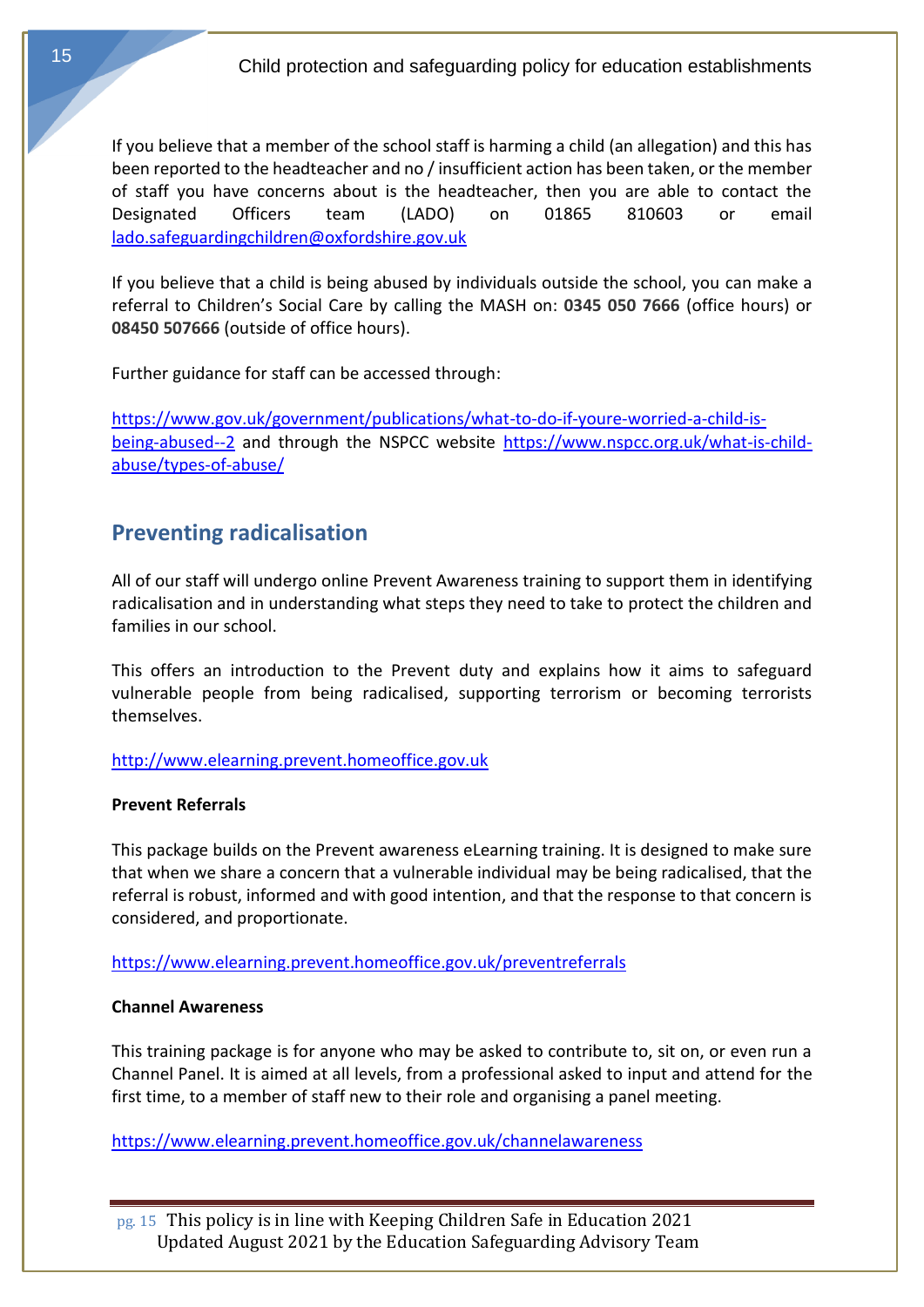If you believe that a member of the school staff is harming a child (an allegation) and this has been reported to the headteacher and no / insufficient action has been taken, or the member of staff you have concerns about is the headteacher, then you are able to contact the Designated Officers team (LADO) on 01865 810603 or email [lado.safeguardingchildren@oxfordshire.gov.uk](mailto:lado.safeguardingchildren@oxfordshire.gov.uk)

If you believe that a child is being abused by individuals outside the school, you can make a referral to Children's Social Care by calling the MASH on: **0345 050 7666** (office hours) or **08450 507666** (outside of office hours).

Further guidance for staff can be accessed through:

<span id="page-14-0"></span>[https://www.gov.uk/government/publications/what-to-do-if-youre-worried-a-child-is](https://www.gov.uk/government/publications/what-to-do-if-youre-worried-a-child-is-being-abused--2)[being-abused--2](https://www.gov.uk/government/publications/what-to-do-if-youre-worried-a-child-is-being-abused--2) and through the NSPCC website [https://www.nspcc.org.uk/what-is-child](https://www.nspcc.org.uk/what-is-child-abuse/types-of-abuse/)[abuse/types-of-abuse/](https://www.nspcc.org.uk/what-is-child-abuse/types-of-abuse/)

# **Preventing radicalisation**

All of our staff will undergo online Prevent Awareness training to support them in identifying radicalisation and in understanding what steps they need to take to protect the children and families in our school.

This offers an introduction to the Prevent duty and explains how it aims to safeguard vulnerable people from being radicalised, supporting terrorism or becoming terrorists themselves.

## [http://www.elearning.prevent.homeoffice.gov.uk](http://www.elearning.prevent.homeoffice.gov.uk/)

## **Prevent Referrals**

This package builds on the Prevent awareness eLearning training. It is designed to make sure that when we share a concern that a vulnerable individual may be being radicalised, that the referral is robust, informed and with good intention, and that the response to that concern is considered, and proportionate.

<https://www.elearning.prevent.homeoffice.gov.uk/preventreferrals>

## **Channel Awareness**

This training package is for anyone who may be asked to contribute to, sit on, or even run a Channel Panel. It is aimed at all levels, from a professional asked to input and attend for the first time, to a member of staff new to their role and organising a panel meeting.

<https://www.elearning.prevent.homeoffice.gov.uk/channelawareness>

pg. 15 This policy is in line with Keeping Children Safe in Education 2021 Updated August 2021 by the Education Safeguarding Advisory Team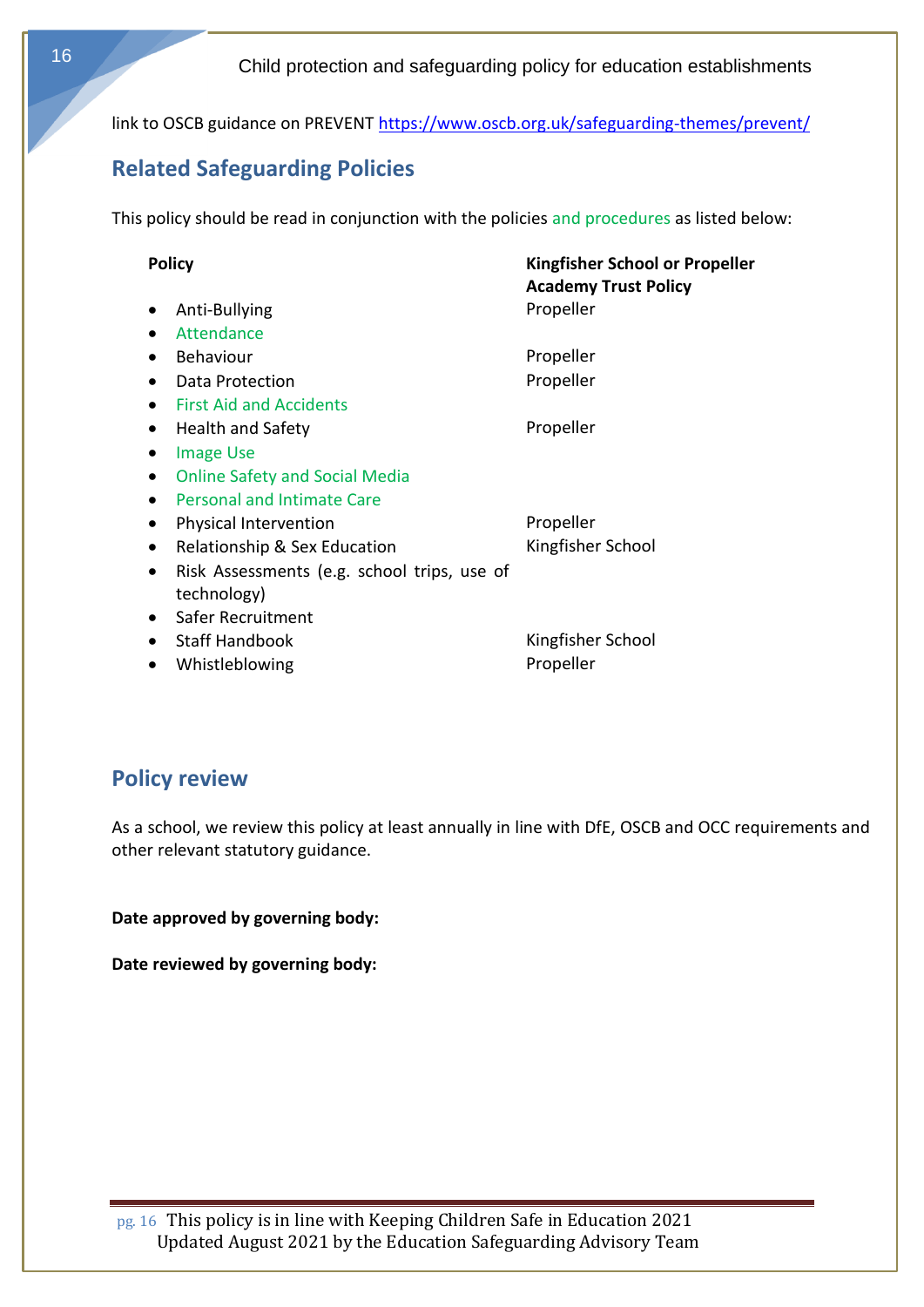<span id="page-15-0"></span>link to OSCB guidance on PREVENT<https://www.oscb.org.uk/safeguarding-themes/prevent/>

# **Related Safeguarding Policies**

This policy should be read in conjunction with the policies and procedures as listed below:

| <b>Policy</b> |                                                          | Kingfisher School or Propeller<br><b>Academy Trust Policy</b> |  |
|---------------|----------------------------------------------------------|---------------------------------------------------------------|--|
|               | Anti-Bullying                                            | Propeller                                                     |  |
|               | Attendance<br>$\bullet$                                  |                                                               |  |
|               | <b>Behaviour</b>                                         | Propeller                                                     |  |
|               | Data Protection                                          | Propeller                                                     |  |
|               | <b>First Aid and Accidents</b>                           |                                                               |  |
|               | <b>Health and Safety</b>                                 | Propeller                                                     |  |
|               | <b>Image Use</b><br>$\bullet$                            |                                                               |  |
|               | <b>Online Safety and Social Media</b><br>$\bullet$       |                                                               |  |
|               | <b>Personal and Intimate Care</b><br>$\bullet$           |                                                               |  |
|               | Physical Intervention<br>$\bullet$                       | Propeller                                                     |  |
|               | Relationship & Sex Education<br>$\bullet$                | Kingfisher School                                             |  |
|               | Risk Assessments (e.g. school trips, use of<br>$\bullet$ |                                                               |  |
|               | technology)                                              |                                                               |  |
|               | Safer Recruitment<br>$\bullet$                           |                                                               |  |
|               | <b>Staff Handbook</b>                                    | Kingfisher School                                             |  |
|               | Whistleblowing<br>$\bullet$                              | Propeller                                                     |  |

# <span id="page-15-1"></span>**Policy review**

As a school, we review this policy at least annually in line with DfE, OSCB and OCC requirements and other relevant statutory guidance.

**Date approved by governing body:** 

<span id="page-15-2"></span>**Date reviewed by governing body:**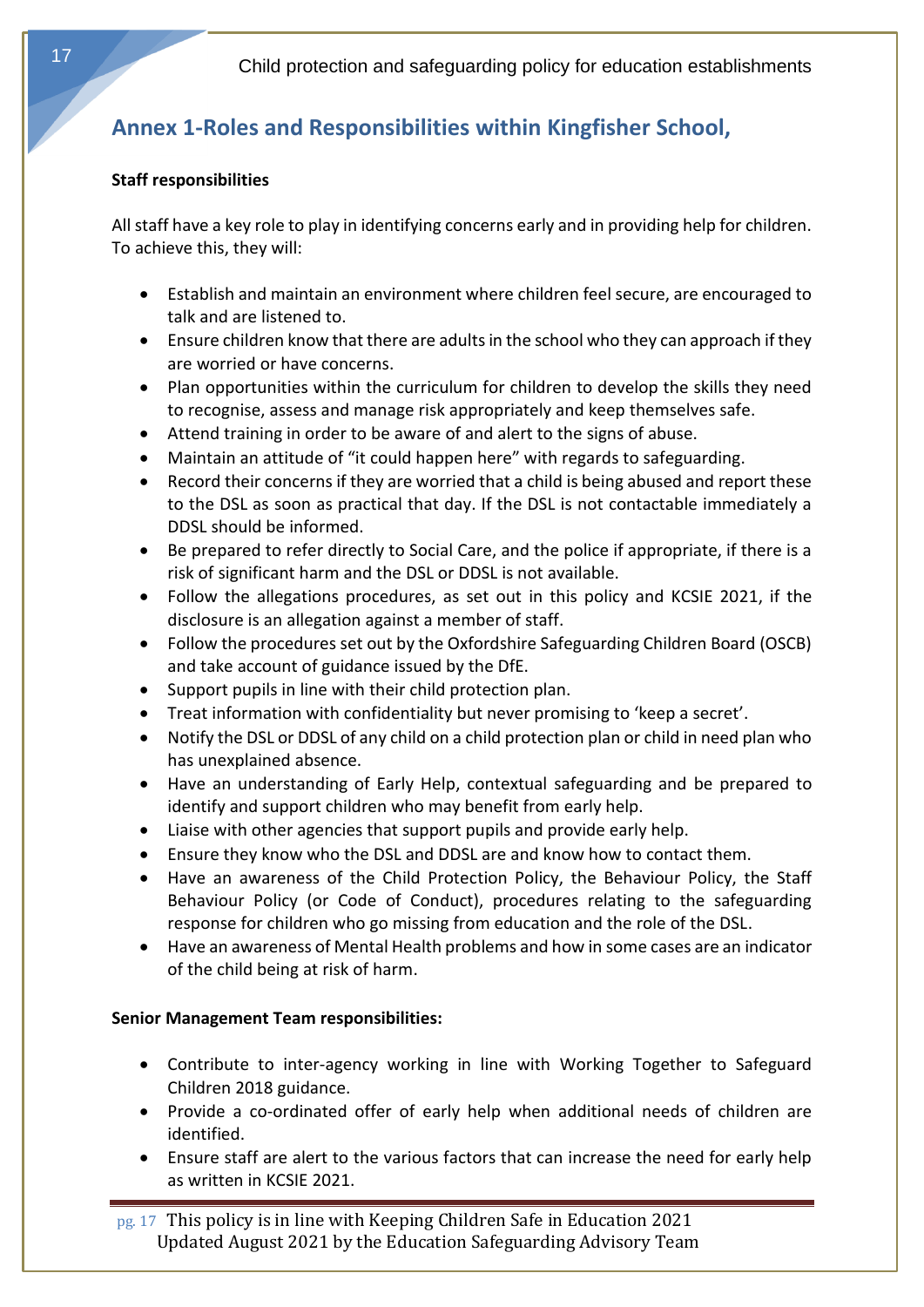# <span id="page-16-0"></span>**Annex 1-Roles and Responsibilities within Kingfisher School,**

## **Staff responsibilities**

All staff have a key role to play in identifying concerns early and in providing help for children. To achieve this, they will:

- Establish and maintain an environment where children feel secure, are encouraged to talk and are listened to.
- Ensure children know that there are adults in the school who they can approach if they are worried or have concerns.
- Plan opportunities within the curriculum for children to develop the skills they need to recognise, assess and manage risk appropriately and keep themselves safe.
- Attend training in order to be aware of and alert to the signs of abuse.
- Maintain an attitude of "it could happen here" with regards to safeguarding.
- Record their concerns if they are worried that a child is being abused and report these to the DSL as soon as practical that day. If the DSL is not contactable immediately a DDSL should be informed.
- Be prepared to refer directly to Social Care, and the police if appropriate, if there is a risk of significant harm and the DSL or DDSL is not available.
- Follow the allegations procedures, as set out in this policy and KCSIE 2021, if the disclosure is an allegation against a member of staff.
- Follow the procedures set out by the Oxfordshire Safeguarding Children Board (OSCB) and take account of guidance issued by the DfE.
- Support pupils in line with their child protection plan.
- Treat information with confidentiality but never promising to 'keep a secret'.
- Notify the DSL or DDSL of any child on a child protection plan or child in need plan who has unexplained absence.
- Have an understanding of Early Help, contextual safeguarding and be prepared to identify and support children who may benefit from early help.
- Liaise with other agencies that support pupils and provide early help.
- Ensure they know who the DSL and DDSL are and know how to contact them.
- Have an awareness of the Child Protection Policy, the Behaviour Policy, the Staff Behaviour Policy (or Code of Conduct), procedures relating to the safeguarding response for children who go missing from education and the role of the DSL.
- <span id="page-16-1"></span>• Have an awareness of Mental Health problems and how in some cases are an indicator of the child being at risk of harm.

# **Senior Management Team responsibilities:**

- Contribute to inter-agency working in line with Working Together to Safeguard Children 2018 guidance.
- Provide a co-ordinated offer of early help when additional needs of children are identified.
- Ensure staff are alert to the various factors that can increase the need for early help as written in KCSIE 2021.

pg. 17 This policy is in line with Keeping Children Safe in Education 2021 Updated August 2021 by the Education Safeguarding Advisory Team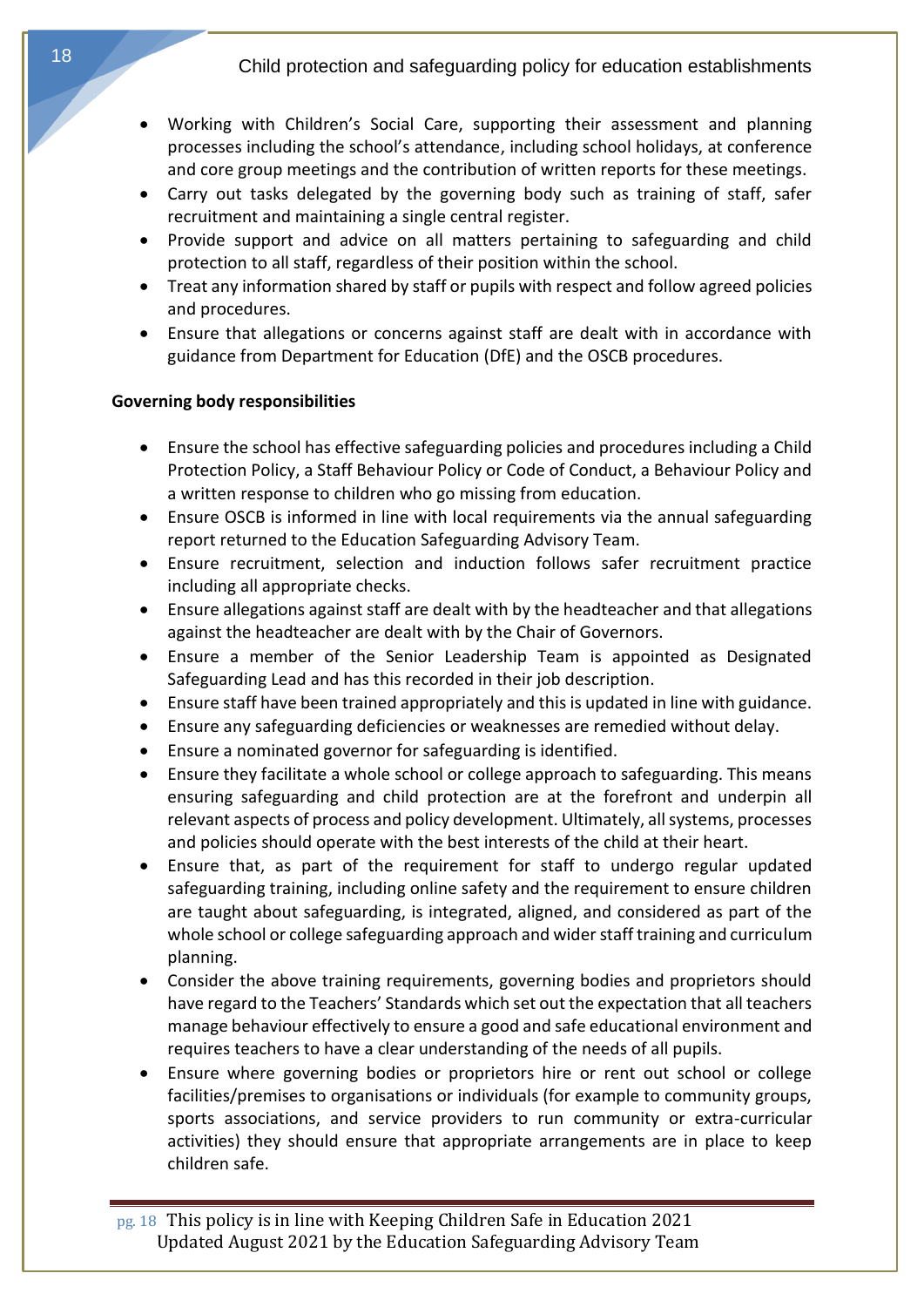- Working with Children's Social Care, supporting their assessment and planning processes including the school's attendance, including school holidays, at conference and core group meetings and the contribution of written reports for these meetings.
- Carry out tasks delegated by the governing body such as training of staff, safer recruitment and maintaining a single central register.
- Provide support and advice on all matters pertaining to safeguarding and child protection to all staff, regardless of their position within the school.
- Treat any information shared by staff or pupils with respect and follow agreed policies and procedures.
- <span id="page-17-0"></span>• Ensure that allegations or concerns against staff are dealt with in accordance with guidance from Department for Education (DfE) and the OSCB procedures.

## **Governing body responsibilities**

- Ensure the school has effective safeguarding policies and procedures including a Child Protection Policy, a Staff Behaviour Policy or Code of Conduct, a Behaviour Policy and a written response to children who go missing from education.
- Ensure OSCB is informed in line with local requirements via the annual safeguarding report returned to the Education Safeguarding Advisory Team.
- Ensure recruitment, selection and induction follows safer recruitment practice including all appropriate checks.
- Ensure allegations against staff are dealt with by the headteacher and that allegations against the headteacher are dealt with by the Chair of Governors.
- Ensure a member of the Senior Leadership Team is appointed as Designated Safeguarding Lead and has this recorded in their job description.
- Ensure staff have been trained appropriately and this is updated in line with guidance.
- Ensure any safeguarding deficiencies or weaknesses are remedied without delay.
- Ensure a nominated governor for safeguarding is identified.
- Ensure they facilitate a whole school or college approach to safeguarding. This means ensuring safeguarding and child protection are at the forefront and underpin all relevant aspects of process and policy development. Ultimately, all systems, processes and policies should operate with the best interests of the child at their heart.
- Ensure that, as part of the requirement for staff to undergo regular updated safeguarding training, including online safety and the requirement to ensure children are taught about safeguarding, is integrated, aligned, and considered as part of the whole school or college safeguarding approach and wider staff training and curriculum planning.
- Consider the above training requirements, governing bodies and proprietors should have regard to the Teachers' Standards which set out the expectation that all teachers manage behaviour effectively to ensure a good and safe educational environment and requires teachers to have a clear understanding of the needs of all pupils.
- Ensure where governing bodies or proprietors hire or rent out school or college facilities/premises to organisations or individuals (for example to community groups, sports associations, and service providers to run community or extra-curricular activities) they should ensure that appropriate arrangements are in place to keep children safe.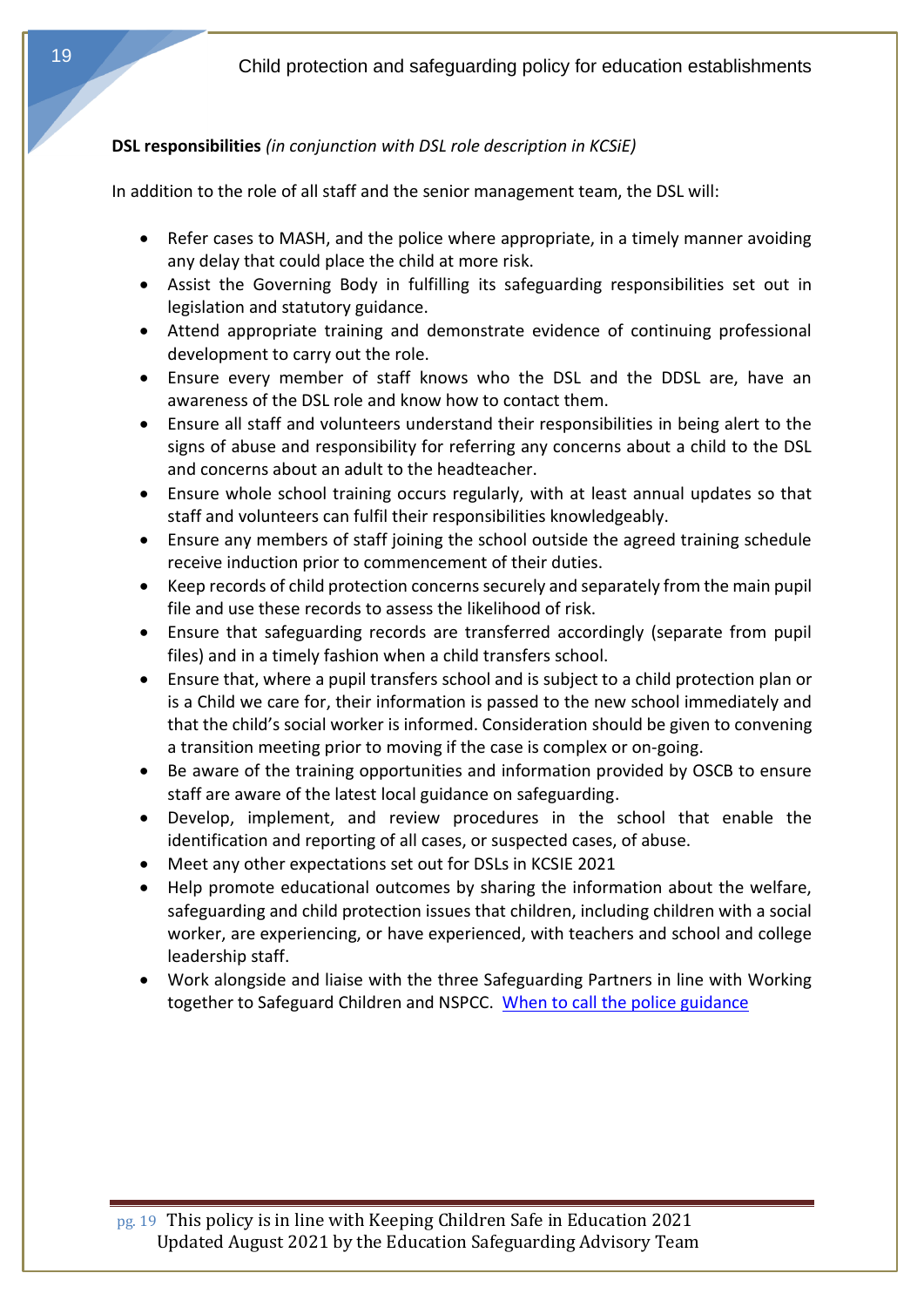# <span id="page-18-0"></span>**DSL responsibilities** *(in conjunction with DSL role description in KCSiE)*

In addition to the role of all staff and the senior management team, the DSL will:

- Refer cases to MASH, and the police where appropriate, in a timely manner avoiding any delay that could place the child at more risk.
- Assist the Governing Body in fulfilling its safeguarding responsibilities set out in legislation and statutory guidance.
- Attend appropriate training and demonstrate evidence of continuing professional development to carry out the role.
- Ensure every member of staff knows who the DSL and the DDSL are, have an awareness of the DSL role and know how to contact them.
- Ensure all staff and volunteers understand their responsibilities in being alert to the signs of abuse and responsibility for referring any concerns about a child to the DSL and concerns about an adult to the headteacher.
- Ensure whole school training occurs regularly, with at least annual updates so that staff and volunteers can fulfil their responsibilities knowledgeably.
- Ensure any members of staff joining the school outside the agreed training schedule receive induction prior to commencement of their duties.
- Keep records of child protection concerns securely and separately from the main pupil file and use these records to assess the likelihood of risk.
- Ensure that safeguarding records are transferred accordingly (separate from pupil files) and in a timely fashion when a child transfers school.
- Ensure that, where a pupil transfers school and is subject to a child protection plan or is a Child we care for, their information is passed to the new school immediately and that the child's social worker is informed. Consideration should be given to convening a transition meeting prior to moving if the case is complex or on-going.
- Be aware of the training opportunities and information provided by OSCB to ensure staff are aware of the latest local guidance on safeguarding.
- Develop, implement, and review procedures in the school that enable the identification and reporting of all cases, or suspected cases, of abuse.
- Meet any other expectations set out for DSLs in KCSIE 2021
- Help promote educational outcomes by sharing the information about the welfare, safeguarding and child protection issues that children, including children with a social worker, are experiencing, or have experienced, with teachers and school and college leadership staff.
- Work alongside and liaise with the three Safeguarding Partners in line with Working together to Safeguard Children and NSPCC. When to call the police guidance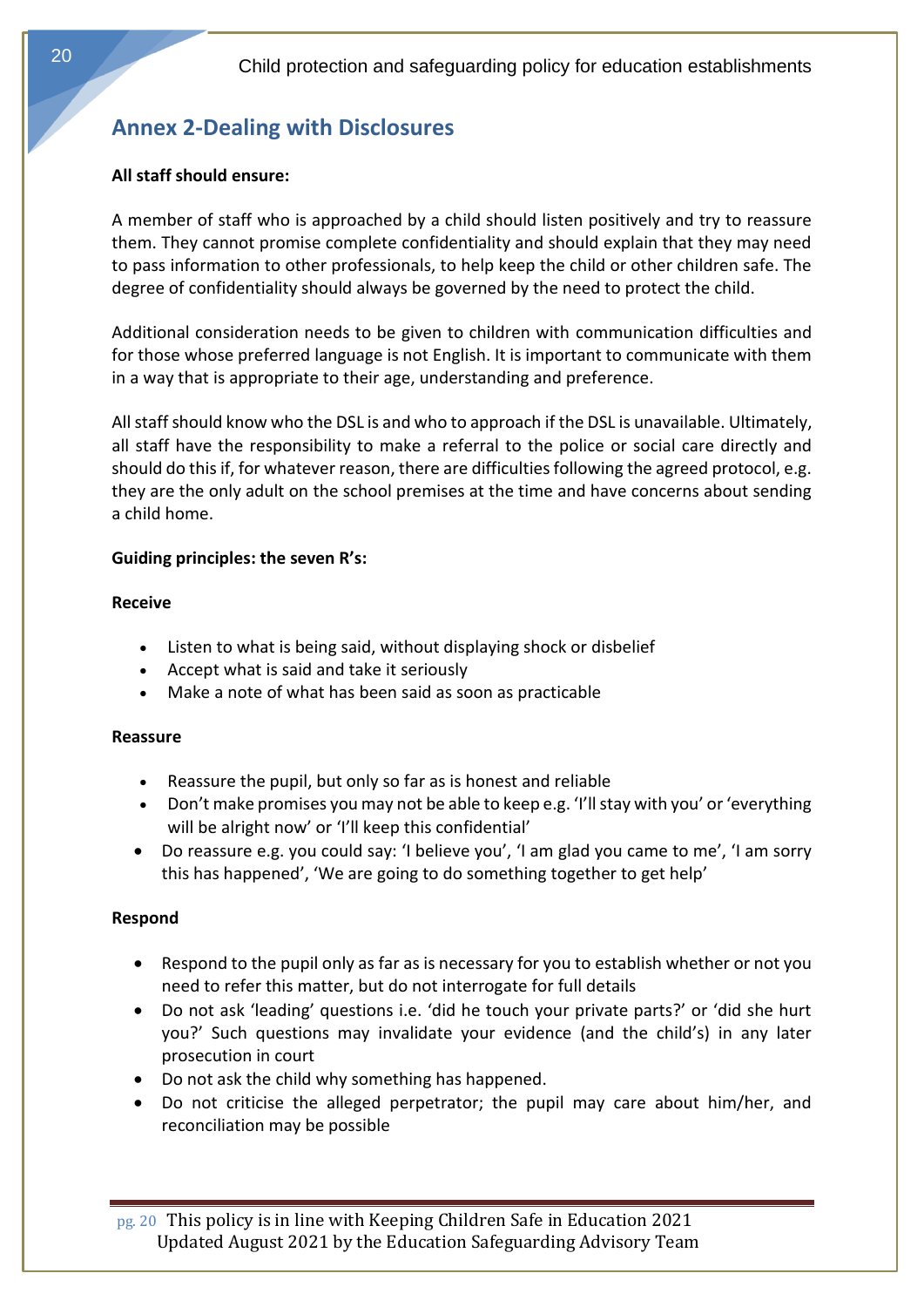# <span id="page-19-0"></span>**Annex 2-Dealing with Disclosures**

## **All staff should ensure:**

A member of staff who is approached by a child should listen positively and try to reassure them. They cannot promise complete confidentiality and should explain that they may need to pass information to other professionals, to help keep the child or other children safe. The degree of confidentiality should always be governed by the need to protect the child.

Additional consideration needs to be given to children with communication difficulties and for those whose preferred language is not English. It is important to communicate with them in a way that is appropriate to their age, understanding and preference.

<span id="page-19-1"></span>All staff should know who the DSL is and who to approach if the DSL is unavailable. Ultimately, all staff have the responsibility to make a referral to the police or social care directly and should do this if, for whatever reason, there are difficulties following the agreed protocol, e.g. they are the only adult on the school premises at the time and have concerns about sending a child home.

## **Guiding principles: the seven R's:**

#### **Receive**

- Listen to what is being said, without displaying shock or disbelief
- Accept what is said and take it seriously
- Make a note of what has been said as soon as practicable

#### **Reassure**

- Reassure the pupil, but only so far as is honest and reliable
- Don't make promises you may not be able to keep e.g. 'I'll stay with you' or 'everything will be alright now' or 'I'll keep this confidential'
- Do reassure e.g. you could say: 'I believe you', 'I am glad you came to me', 'I am sorry this has happened', 'We are going to do something together to get help'

## **Respond**

- Respond to the pupil only as far as is necessary for you to establish whether or not you need to refer this matter, but do not interrogate for full details
- Do not ask 'leading' questions i.e. 'did he touch your private parts?' or 'did she hurt you?' Such questions may invalidate your evidence (and the child's) in any later prosecution in court
- Do not ask the child why something has happened.
- Do not criticise the alleged perpetrator; the pupil may care about him/her, and reconciliation may be possible

pg. 20 This policy is in line with Keeping Children Safe in Education 2021 Updated August 2021 by the Education Safeguarding Advisory Team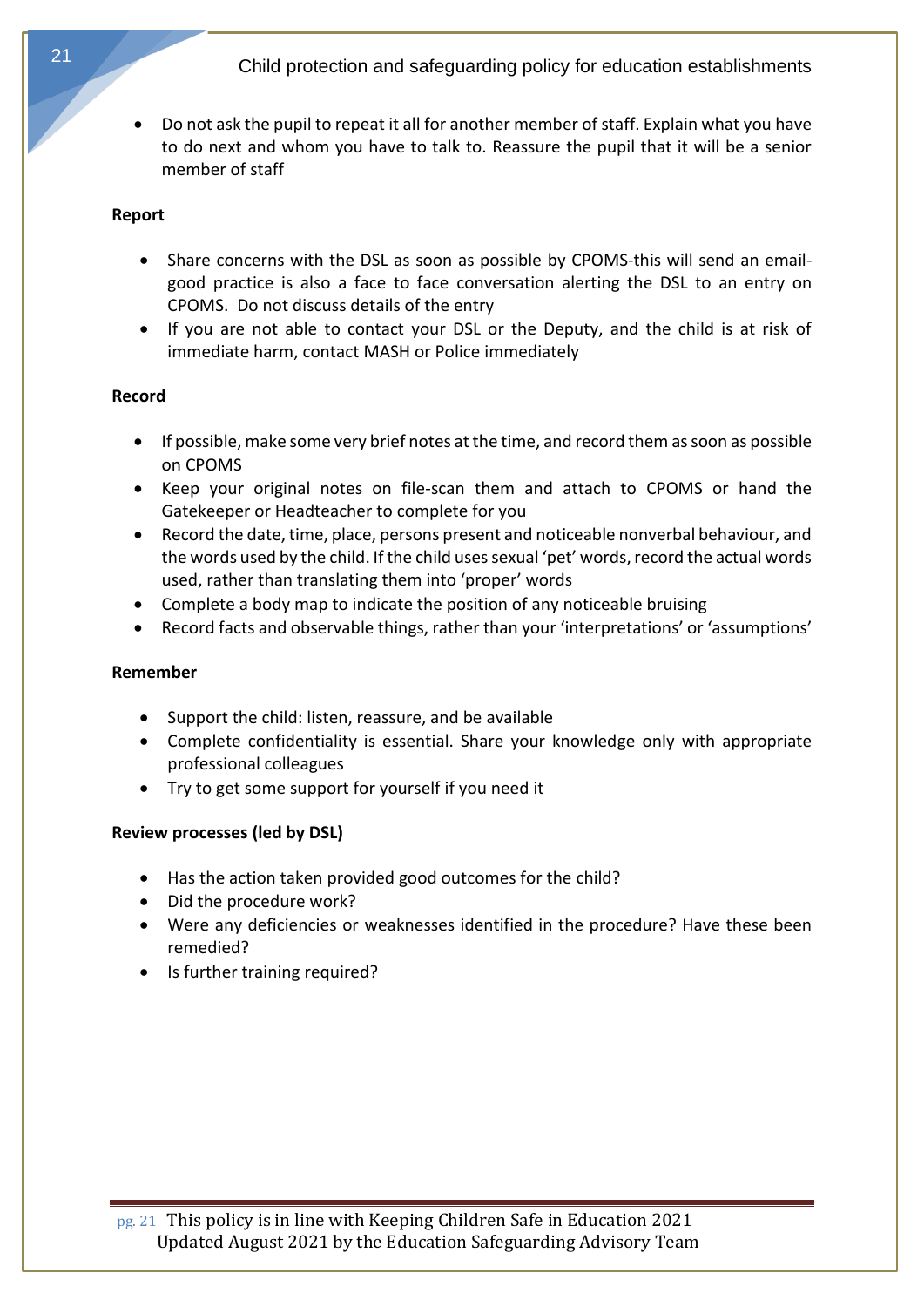• Do not ask the pupil to repeat it all for another member of staff. Explain what you have to do next and whom you have to talk to. Reassure the pupil that it will be a senior member of staff

#### **Report**

- Share concerns with the DSL as soon as possible by CPOMS-this will send an emailgood practice is also a face to face conversation alerting the DSL to an entry on CPOMS. Do not discuss details of the entry
- If you are not able to contact your DSL or the Deputy, and the child is at risk of immediate harm, contact MASH or Police immediately

## **Record**

- If possible, make some very brief notes at the time, and record them as soon as possible on CPOMS
- Keep your original notes on file-scan them and attach to CPOMS or hand the Gatekeeper or Headteacher to complete for you
- Record the date, time, place, persons present and noticeable nonverbal behaviour, and the words used by the child. If the child uses sexual 'pet' words, record the actual words used, rather than translating them into 'proper' words
- Complete a body map to indicate the position of any noticeable bruising
- Record facts and observable things, rather than your 'interpretations' or 'assumptions'

#### **Remember**

- Support the child: listen, reassure, and be available
- Complete confidentiality is essential. Share your knowledge only with appropriate professional colleagues
- Try to get some support for yourself if you need it

## **Review processes (led by DSL)**

- Has the action taken provided good outcomes for the child?
- Did the procedure work?
- Were any deficiencies or weaknesses identified in the procedure? Have these been remedied?
- Is further training required?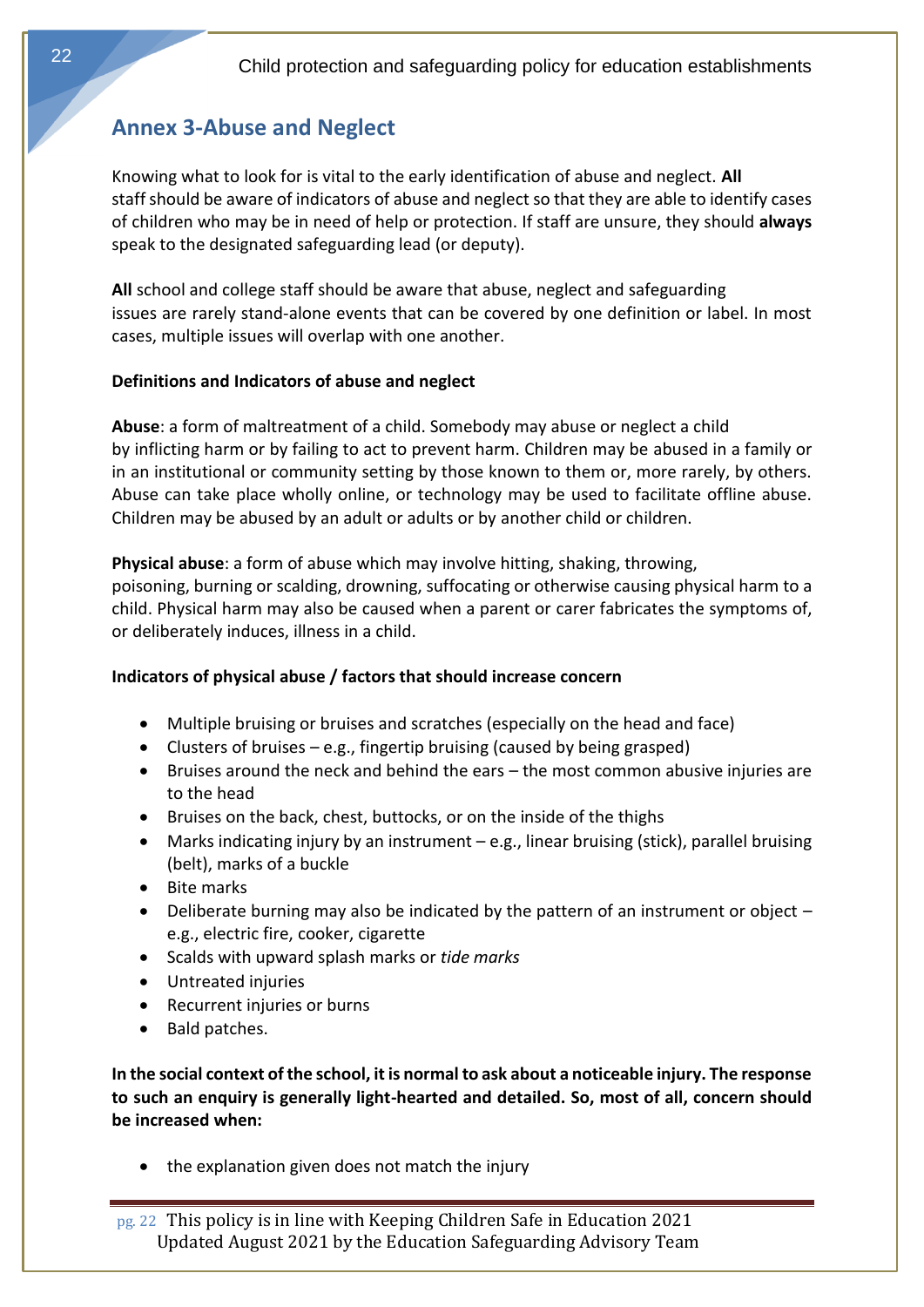# <span id="page-21-0"></span>**Annex 3-Abuse and Neglect**

Knowing what to look for is vital to the early identification of abuse and neglect. **All** staff should be aware of indicators of abuse and neglect so that they are able to identify cases of children who may be in need of help or protection. If staff are unsure, they should **always**  speak to the designated safeguarding lead (or deputy).

**All** school and college staff should be aware that abuse, neglect and safeguarding issues are rarely stand-alone events that can be covered by one definition or label. In most cases, multiple issues will overlap with one another.

## <span id="page-21-1"></span>**Definitions and Indicators of abuse and neglect**

<span id="page-21-2"></span>**Abuse**: a form of maltreatment of a child. Somebody may abuse or neglect a child by inflicting harm or by failing to act to prevent harm. Children may be abused in a family or in an institutional or community setting by those known to them or, more rarely, by others. Abuse can take place wholly online, or technology may be used to facilitate offline abuse. Children may be abused by an adult or adults or by another child or children.

**Physical abuse**: a form of abuse which may involve hitting, shaking, throwing, poisoning, burning or scalding, drowning, suffocating or otherwise causing physical harm to a child. Physical harm may also be caused when a parent or carer fabricates the symptoms of, or deliberately induces, illness in a child.

## **Indicators of physical abuse / factors that should increase concern**

- Multiple bruising or bruises and scratches (especially on the head and face)
- Clusters of bruises e.g., fingertip bruising (caused by being grasped)
- Bruises around the neck and behind the ears the most common abusive injuries are to the head
- Bruises on the back, chest, buttocks, or on the inside of the thighs
- Marks indicating injury by an instrument e.g., linear bruising (stick), parallel bruising (belt), marks of a buckle
- Bite marks
- Deliberate burning may also be indicated by the pattern of an instrument or object e.g., electric fire, cooker, cigarette
- Scalds with upward splash marks or *tide marks*
- Untreated injuries
- Recurrent injuries or burns
- Bald patches.

**In the social context of the school, it is normal to ask about a noticeable injury. The response to such an enquiry is generally light-hearted and detailed. So, most of all, concern should be increased when:** 

• the explanation given does not match the injury

pg. 22 This policy is in line with Keeping Children Safe in Education 2021 Updated August 2021 by the Education Safeguarding Advisory Team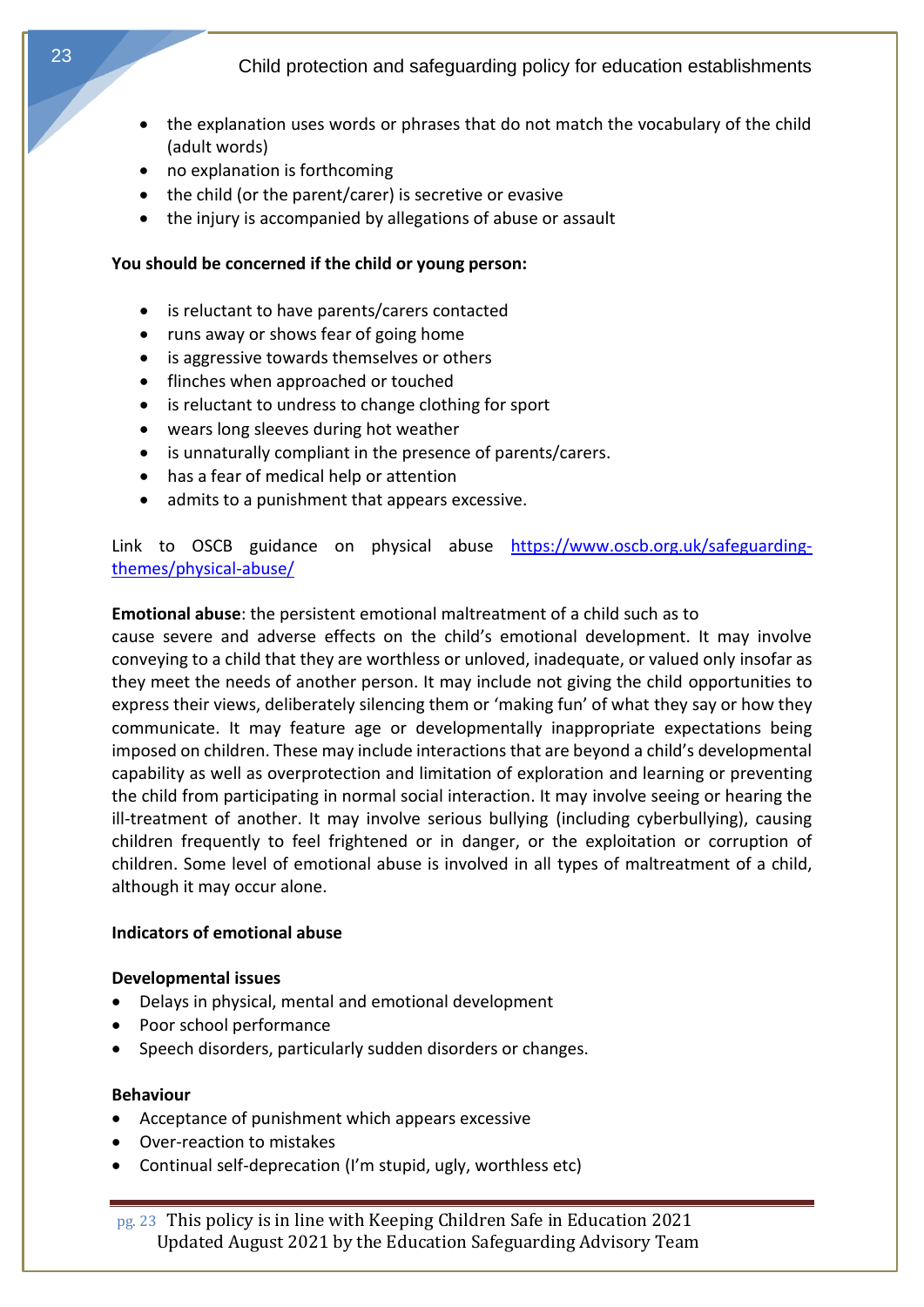- the explanation uses words or phrases that do not match the vocabulary of the child (adult words)
- no explanation is forthcoming
- the child (or the parent/carer) is secretive or evasive
- the injury is accompanied by allegations of abuse or assault

#### **You should be concerned if the child or young person:**

- is reluctant to have parents/carers contacted
- runs away or shows fear of going home
- is aggressive towards themselves or others
- flinches when approached or touched
- is reluctant to undress to change clothing for sport
- wears long sleeves during hot weather
- is unnaturally compliant in the presence of parents/carers.
- has a fear of medical help or attention
- admits to a punishment that appears excessive.

<span id="page-22-0"></span>Link to OSCB guidance on physical abuse [https://www.oscb.org.uk/safeguarding](https://www.oscb.org.uk/safeguarding-themes/physical-abuse/)[themes/physical-abuse/](https://www.oscb.org.uk/safeguarding-themes/physical-abuse/)

#### **Emotional abuse**: the persistent emotional maltreatment of a child such as to

cause severe and adverse effects on the child's emotional development. It may involve conveying to a child that they are worthless or unloved, inadequate, or valued only insofar as they meet the needs of another person. It may include not giving the child opportunities to express their views, deliberately silencing them or 'making fun' of what they say or how they communicate. It may feature age or developmentally inappropriate expectations being imposed on children. These may include interactions that are beyond a child's developmental capability as well as overprotection and limitation of exploration and learning or preventing the child from participating in normal social interaction. It may involve seeing or hearing the ill-treatment of another. It may involve serious bullying (including cyberbullying), causing children frequently to feel frightened or in danger, or the exploitation or corruption of children. Some level of emotional abuse is involved in all types of maltreatment of a child, although it may occur alone.

#### **Indicators of emotional abuse**

#### **Developmental issues**

- Delays in physical, mental and emotional development
- Poor school performance
- Speech disorders, particularly sudden disorders or changes.

#### **Behaviour**

- Acceptance of punishment which appears excessive
- Over-reaction to mistakes
- Continual self-deprecation (I'm stupid, ugly, worthless etc)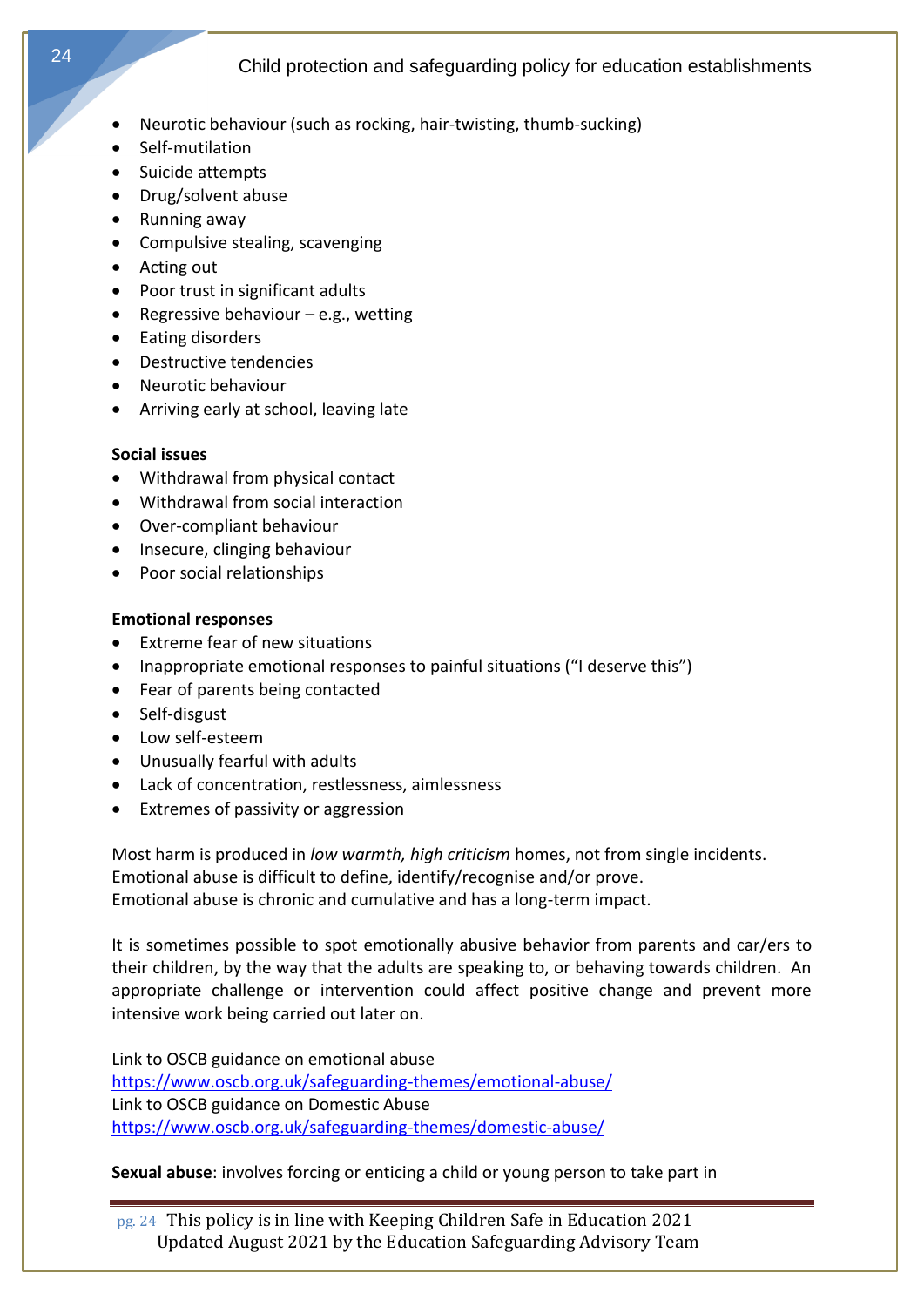- Neurotic behaviour (such as rocking, hair-twisting, thumb-sucking)
- Self-mutilation
- Suicide attempts
- Drug/solvent abuse
- Running away
- Compulsive stealing, scavenging
- Acting out
- Poor trust in significant adults
- Regressive behaviour  $-e.g.,$  wetting
- Eating disorders
- Destructive tendencies
- Neurotic behaviour
- Arriving early at school, leaving late

#### **Social issues**

- Withdrawal from physical contact
- Withdrawal from social interaction
- Over-compliant behaviour
- Insecure, clinging behaviour
- Poor social relationships

#### **Emotional responses**

- Extreme fear of new situations
- Inappropriate emotional responses to painful situations ("I deserve this")
- Fear of parents being contacted
- Self-disgust
- Low self-esteem
- Unusually fearful with adults
- Lack of concentration, restlessness, aimlessness
- Extremes of passivity or aggression

Most harm is produced in *low warmth, high criticism* homes, not from single incidents. Emotional abuse is difficult to define, identify/recognise and/or prove. Emotional abuse is chronic and cumulative and has a long-term impact.

It is sometimes possible to spot emotionally abusive behavior from parents and car/ers to their children, by the way that the adults are speaking to, or behaving towards children. An appropriate challenge or intervention could affect positive change and prevent more intensive work being carried out later on.

Link to OSCB guidance on emotional abuse <https://www.oscb.org.uk/safeguarding-themes/emotional-abuse/> Link to OSCB guidance on Domestic Abuse <https://www.oscb.org.uk/safeguarding-themes/domestic-abuse/>

**Sexual abuse**: involves forcing or enticing a child or young person to take part in

pg. 24 This policy is in line with Keeping Children Safe in Education 2021 Updated August 2021 by the Education Safeguarding Advisory Team

24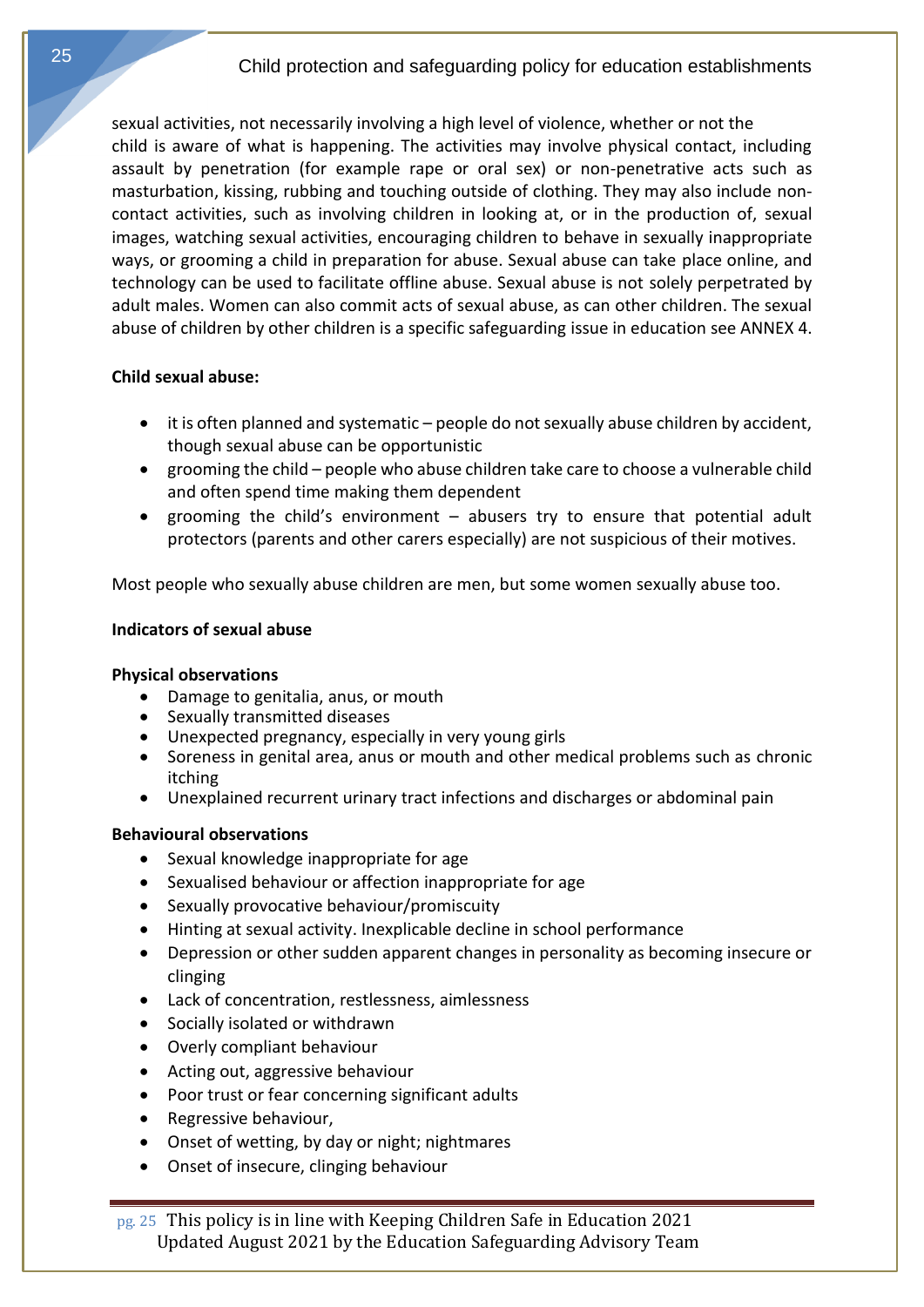sexual activities, not necessarily involving a high level of violence, whether or not the child is aware of what is happening. The activities may involve physical contact, including assault by penetration (for example rape or oral sex) or non-penetrative acts such as masturbation, kissing, rubbing and touching outside of clothing. They may also include noncontact activities, such as involving children in looking at, or in the production of, sexual images, watching sexual activities, encouraging children to behave in sexually inappropriate ways, or grooming a child in preparation for abuse. Sexual abuse can take place online, and technology can be used to facilitate offline abuse. Sexual abuse is not solely perpetrated by adult males. Women can also commit acts of sexual abuse, as can other children. The sexual abuse of children by other children is a specific safeguarding issue in education see ANNEX 4.

## <span id="page-24-0"></span>**Child sexual abuse:**

- it is often planned and systematic people do not sexually abuse children by accident, though sexual abuse can be opportunistic
- grooming the child people who abuse children take care to choose a vulnerable child and often spend time making them dependent
- grooming the child's environment abusers try to ensure that potential adult protectors (parents and other carers especially) are not suspicious of their motives.

Most people who sexually abuse children are men, but some women sexually abuse too.

## **Indicators of sexual abuse**

## **Physical observations**

- Damage to genitalia, anus, or mouth
- Sexually transmitted diseases
- Unexpected pregnancy, especially in very young girls
- Soreness in genital area, anus or mouth and other medical problems such as chronic itching
- Unexplained recurrent urinary tract infections and discharges or abdominal pain

# **Behavioural observations**

- Sexual knowledge inappropriate for age
- Sexualised behaviour or affection inappropriate for age
- Sexually provocative behaviour/promiscuity
- Hinting at sexual activity. Inexplicable decline in school performance
- Depression or other sudden apparent changes in personality as becoming insecure or clinging
- Lack of concentration, restlessness, aimlessness
- Socially isolated or withdrawn
- Overly compliant behaviour
- Acting out, aggressive behaviour
- Poor trust or fear concerning significant adults
- Regressive behaviour,
- Onset of wetting, by day or night; nightmares
- Onset of insecure, clinging behaviour

pg. 25 This policy is in line with Keeping Children Safe in Education 2021 Updated August 2021 by the Education Safeguarding Advisory Team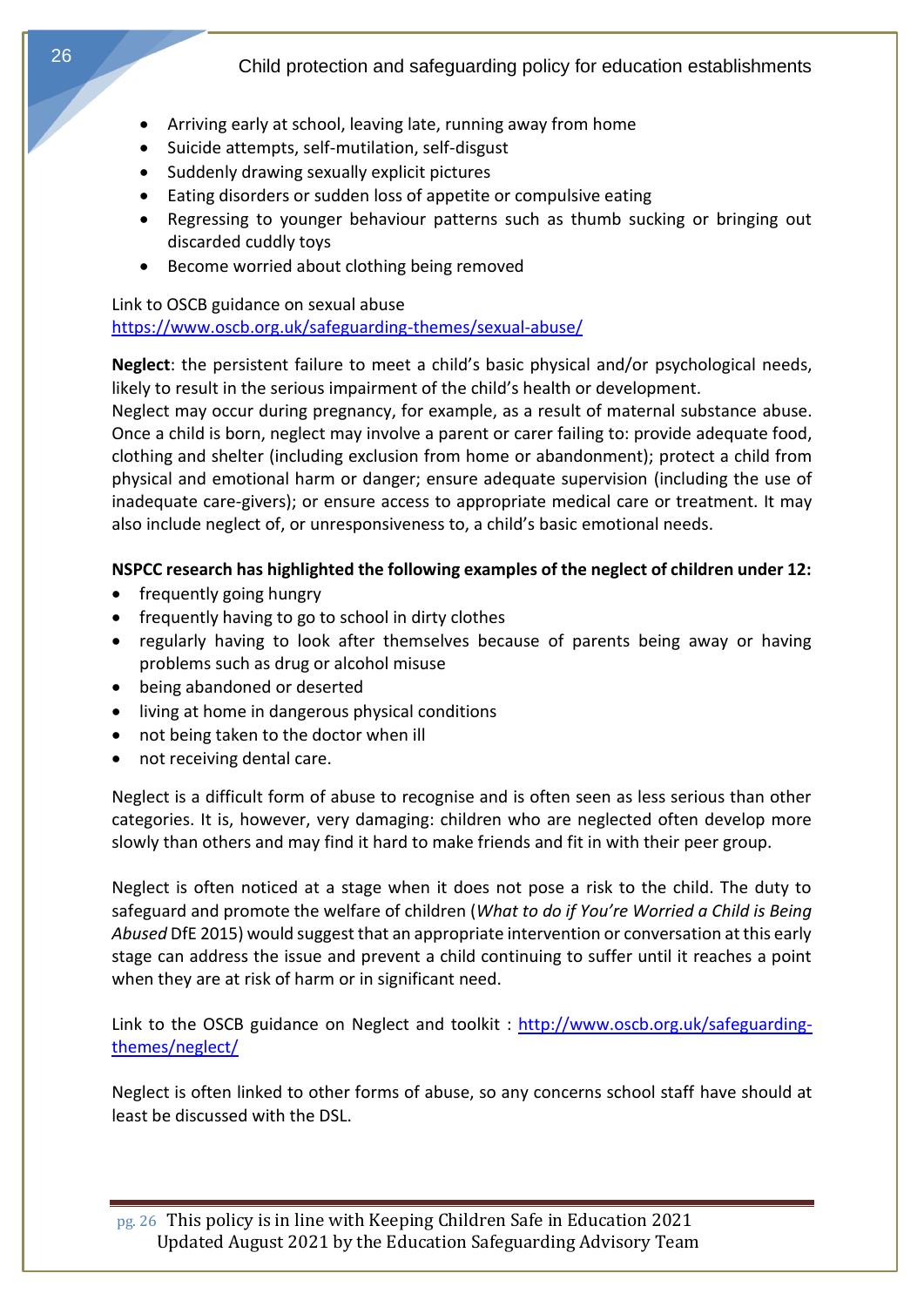- Arriving early at school, leaving late, running away from home
- Suicide attempts, self-mutilation, self-disgust
- Suddenly drawing sexually explicit pictures
- Eating disorders or sudden loss of appetite or compulsive eating
- Regressing to younger behaviour patterns such as thumb sucking or bringing out discarded cuddly toys
- Become worried about clothing being removed

#### <span id="page-25-0"></span>Link to OSCB guidance on sexual abuse <https://www.oscb.org.uk/safeguarding-themes/sexual-abuse/>

**Neglect**: the persistent failure to meet a child's basic physical and/or psychological needs, likely to result in the serious impairment of the child's health or development.

Neglect may occur during pregnancy, for example, as a result of maternal substance abuse. Once a child is born, neglect may involve a parent or carer failing to: provide adequate food, clothing and shelter (including exclusion from home or abandonment); protect a child from physical and emotional harm or danger; ensure adequate supervision (including the use of inadequate care-givers); or ensure access to appropriate medical care or treatment. It may also include neglect of, or unresponsiveness to, a child's basic emotional needs.

# **NSPCC research has highlighted the following examples of the neglect of children under 12:**

- frequently going hungry
- frequently having to go to school in dirty clothes
- regularly having to look after themselves because of parents being away or having problems such as drug or alcohol misuse
- being abandoned or deserted
- living at home in dangerous physical conditions
- not being taken to the doctor when ill
- not receiving dental care.

Neglect is a difficult form of abuse to recognise and is often seen as less serious than other categories. It is, however, very damaging: children who are neglected often develop more slowly than others and may find it hard to make friends and fit in with their peer group.

Neglect is often noticed at a stage when it does not pose a risk to the child. The duty to safeguard and promote the welfare of children (*What to do if You're Worried a Child is Being Abused* DfE 2015) would suggest that an appropriate intervention or conversation at this early stage can address the issue and prevent a child continuing to suffer until it reaches a point when they are at risk of harm or in significant need.

Link to the OSCB guidance on Neglect and toolkit: [http://www.oscb.org.uk/safeguarding](http://www.oscb.org.uk/safeguarding-themes/neglect/)[themes/neglect/](http://www.oscb.org.uk/safeguarding-themes/neglect/) 

Neglect is often linked to other forms of abuse, so any concerns school staff have should at least be discussed with the DSL.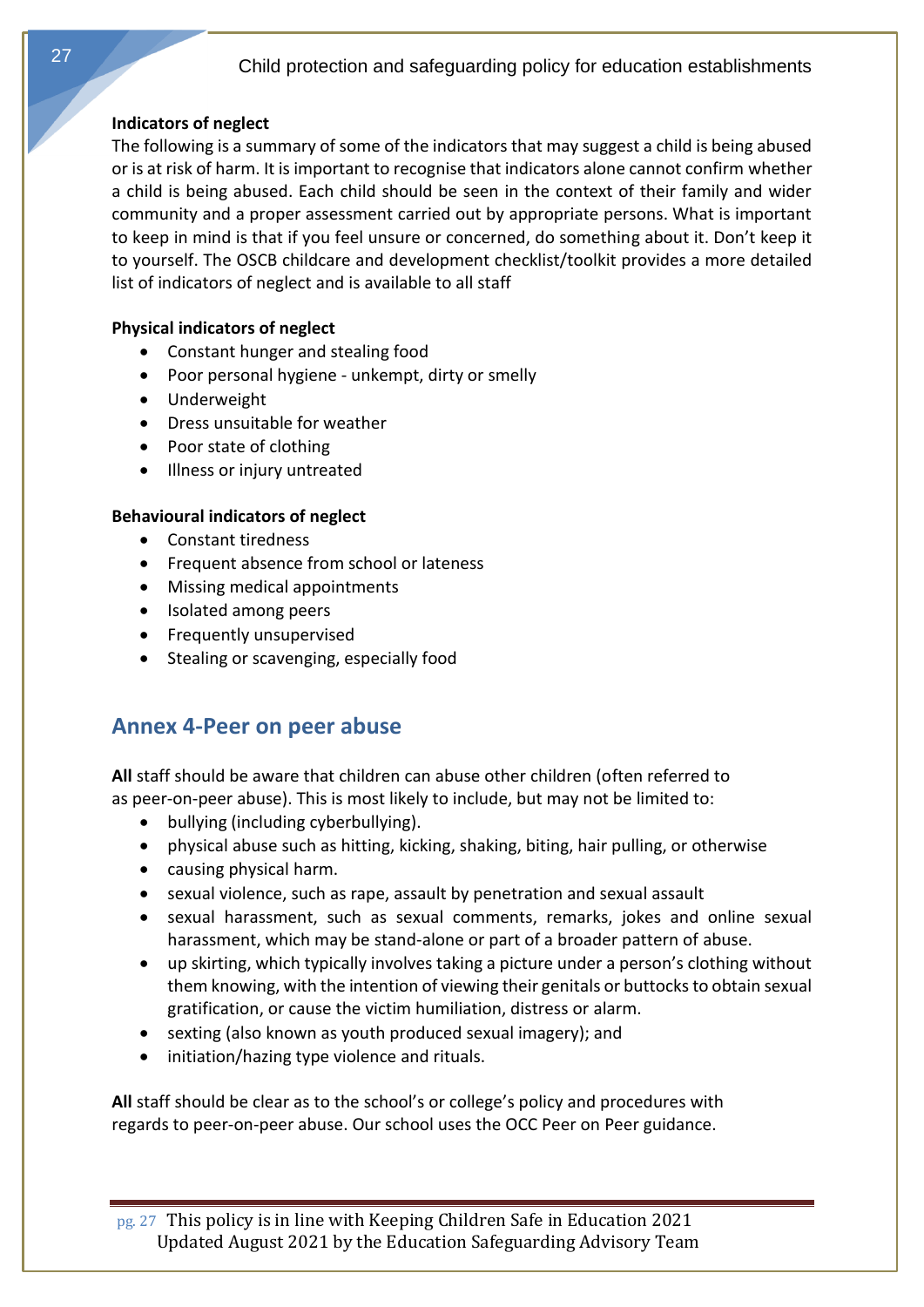# **Indicators of neglect**

The following is a summary of some of the indicators that may suggest a child is being abused or is at risk of harm. It is important to recognise that indicators alone cannot confirm whether a child is being abused. Each child should be seen in the context of their family and wider community and a proper assessment carried out by appropriate persons. What is important to keep in mind is that if you feel unsure or concerned, do something about it. Don't keep it to yourself. The OSCB childcare and development checklist/toolkit provides a more detailed list of indicators of neglect and is available to all staff

# **Physical indicators of neglect**

- Constant hunger and stealing food
- Poor personal hygiene unkempt, dirty or smelly
- Underweight
- Dress unsuitable for weather
- Poor state of clothing
- Illness or injury untreated

# **Behavioural indicators of neglect**

- Constant tiredness
- Frequent absence from school or lateness
- Missing medical appointments
- Isolated among peers
- <span id="page-26-0"></span>• Frequently unsupervised
- Stealing or scavenging, especially food

# **Annex 4-Peer on peer abuse**

**All** staff should be aware that children can abuse other children (often referred to as peer-on-peer abuse). This is most likely to include, but may not be limited to:

- bullying (including cyberbullying).
- physical abuse such as hitting, kicking, shaking, biting, hair pulling, or otherwise
- causing physical harm.
- sexual violence, such as rape, assault by penetration and sexual assault
- sexual harassment, such as sexual comments, remarks, jokes and online sexual harassment, which may be stand-alone or part of a broader pattern of abuse.
- up skirting, which typically involves taking a picture under a person's clothing without them knowing, with the intention of viewing their genitals or buttocks to obtain sexual gratification, or cause the victim humiliation, distress or alarm.
- sexting (also known as youth produced sexual imagery); and
- initiation/hazing type violence and rituals.

**All** staff should be clear as to the school's or college's policy and procedures with regards to peer-on-peer abuse. Our school uses the OCC Peer on Peer guidance.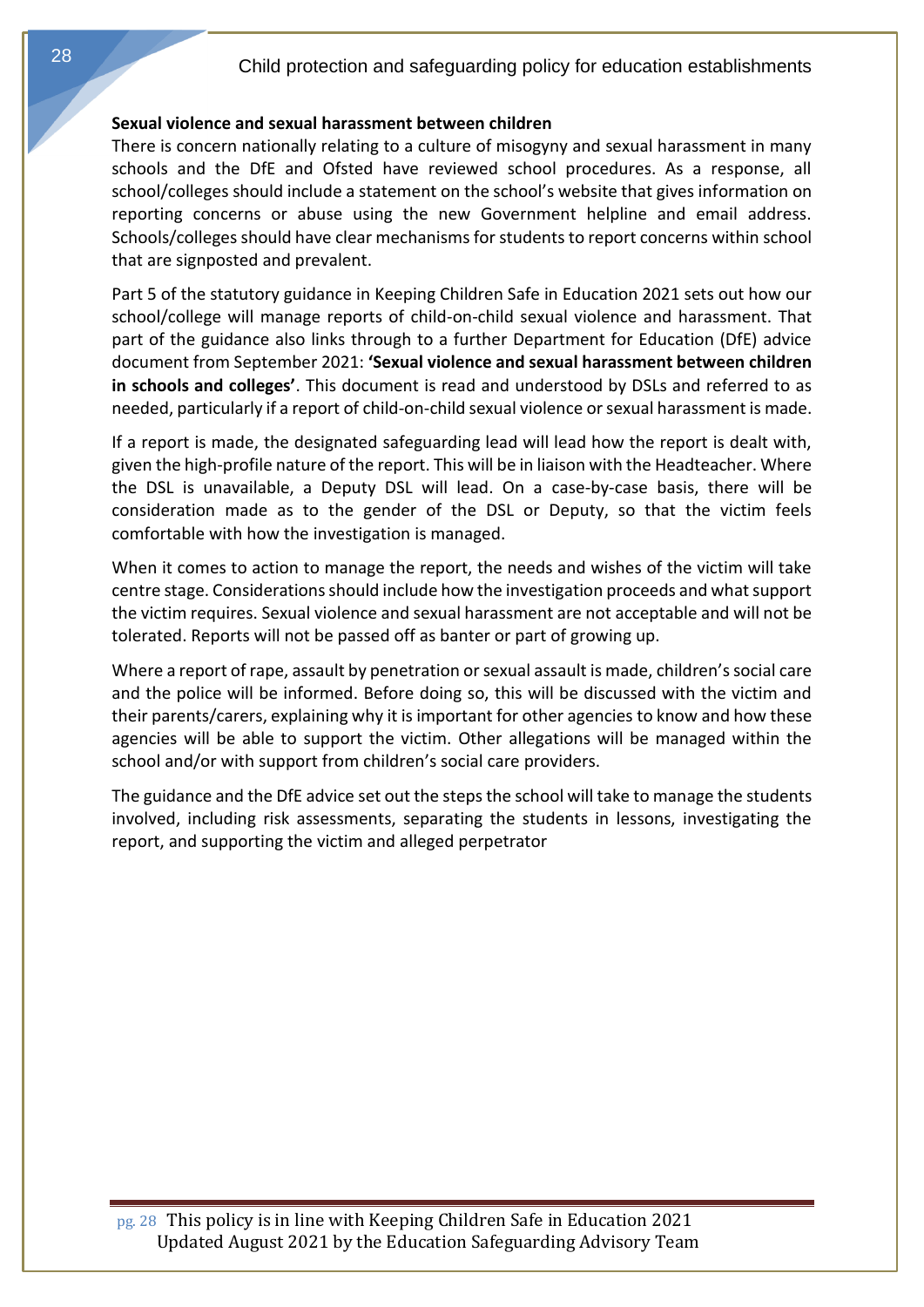#### <span id="page-27-0"></span>**Sexual violence and sexual harassment between children**

There is concern nationally relating to a culture of misogyny and sexual harassment in many schools and the DfE and Ofsted have reviewed school procedures. As a response, all school/colleges should include a statement on the school's website that gives information on reporting concerns or abuse using the new Government helpline and email address. Schools/colleges should have clear mechanisms for students to report concerns within school that are signposted and prevalent.

Part 5 of the statutory guidance in Keeping Children Safe in Education 2021 sets out how our school/college will manage reports of child-on-child sexual violence and harassment. That part of the guidance also links through to a further Department for Education (DfE) advice document from September 2021: **'Sexual violence and sexual harassment between children in schools and colleges'**. This document is read and understood by DSLs and referred to as needed, particularly if a report of child-on-child sexual violence or sexual harassment is made.

If a report is made, the designated safeguarding lead will lead how the report is dealt with, given the high-profile nature of the report. This will be in liaison with the Headteacher. Where the DSL is unavailable, a Deputy DSL will lead. On a case-by-case basis, there will be consideration made as to the gender of the DSL or Deputy, so that the victim feels comfortable with how the investigation is managed.

When it comes to action to manage the report, the needs and wishes of the victim will take centre stage. Considerations should include how the investigation proceeds and what support the victim requires. Sexual violence and sexual harassment are not acceptable and will not be tolerated. Reports will not be passed off as banter or part of growing up.

Where a report of rape, assault by penetration or sexual assault is made, children's social care and the police will be informed. Before doing so, this will be discussed with the victim and their parents/carers, explaining why it is important for other agencies to know and how these agencies will be able to support the victim. Other allegations will be managed within the school and/or with support from children's social care providers.

<span id="page-27-1"></span>The guidance and the DfE advice set out the steps the school will take to manage the students involved, including risk assessments, separating the students in lessons, investigating the report, and supporting the victim and alleged perpetrator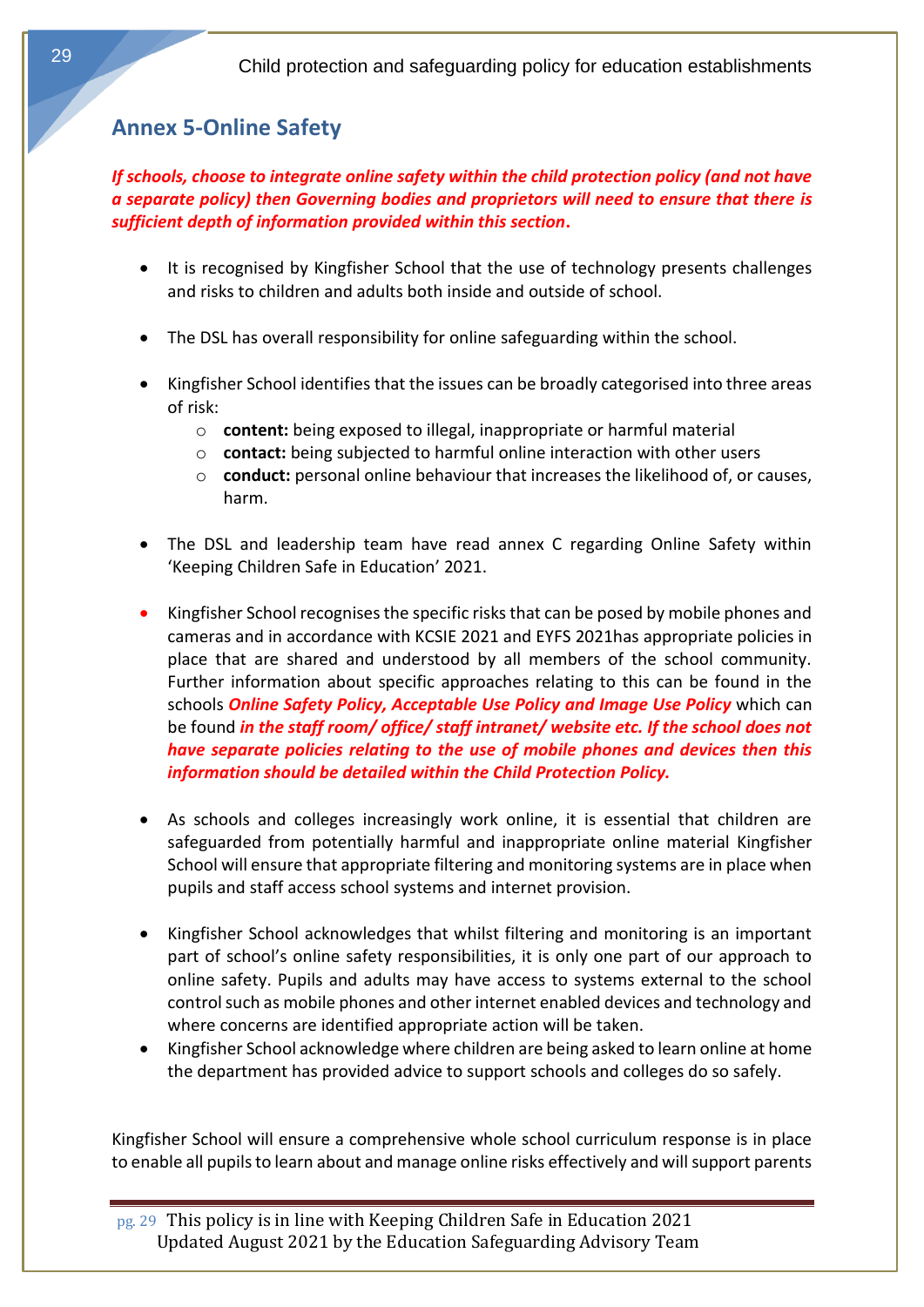# **Annex 5-Online Safety**

*If schools, choose to integrate online safety within the child protection policy (and not have a separate policy) then Governing bodies and proprietors will need to ensure that there is sufficient depth of information provided within this section***.**

- It is recognised by Kingfisher School that the use of technology presents challenges and risks to children and adults both inside and outside of school.
- The DSL has overall responsibility for online safeguarding within the school.
- Kingfisher School identifies that the issues can be broadly categorised into three areas of risk:
	- o **content:** being exposed to illegal, inappropriate or harmful material
	- o **contact:** being subjected to harmful online interaction with other users
	- o **conduct:** personal online behaviour that increases the likelihood of, or causes, harm.
- The DSL and leadership team have read annex C regarding Online Safety within 'Keeping Children Safe in Education' 2021.
- Kingfisher School recognises the specific risks that can be posed by mobile phones and cameras and in accordance with KCSIE 2021 and EYFS 2021has appropriate policies in place that are shared and understood by all members of the school community. Further information about specific approaches relating to this can be found in the schools *Online Safety Policy, Acceptable Use Policy and Image Use Policy* which can be found *in the staff room/ office/ staff intranet/ website etc. If the school does not have separate policies relating to the use of mobile phones and devices then this information should be detailed within the Child Protection Policy.*
- As schools and colleges increasingly work online, it is essential that children are safeguarded from potentially harmful and inappropriate online material Kingfisher School will ensure that appropriate filtering and monitoring systems are in place when pupils and staff access school systems and internet provision.
- Kingfisher School acknowledges that whilst filtering and monitoring is an important part of school's online safety responsibilities, it is only one part of our approach to online safety. Pupils and adults may have access to systems external to the school control such as mobile phones and other internet enabled devices and technology and where concerns are identified appropriate action will be taken.
- Kingfisher School acknowledge where children are being asked to learn online at home the department has provided advice to support schools and colleges do so safely.

Kingfisher School will ensure a comprehensive whole school curriculum response is in place to enable all pupils to learn about and manage online risks effectively and will support parents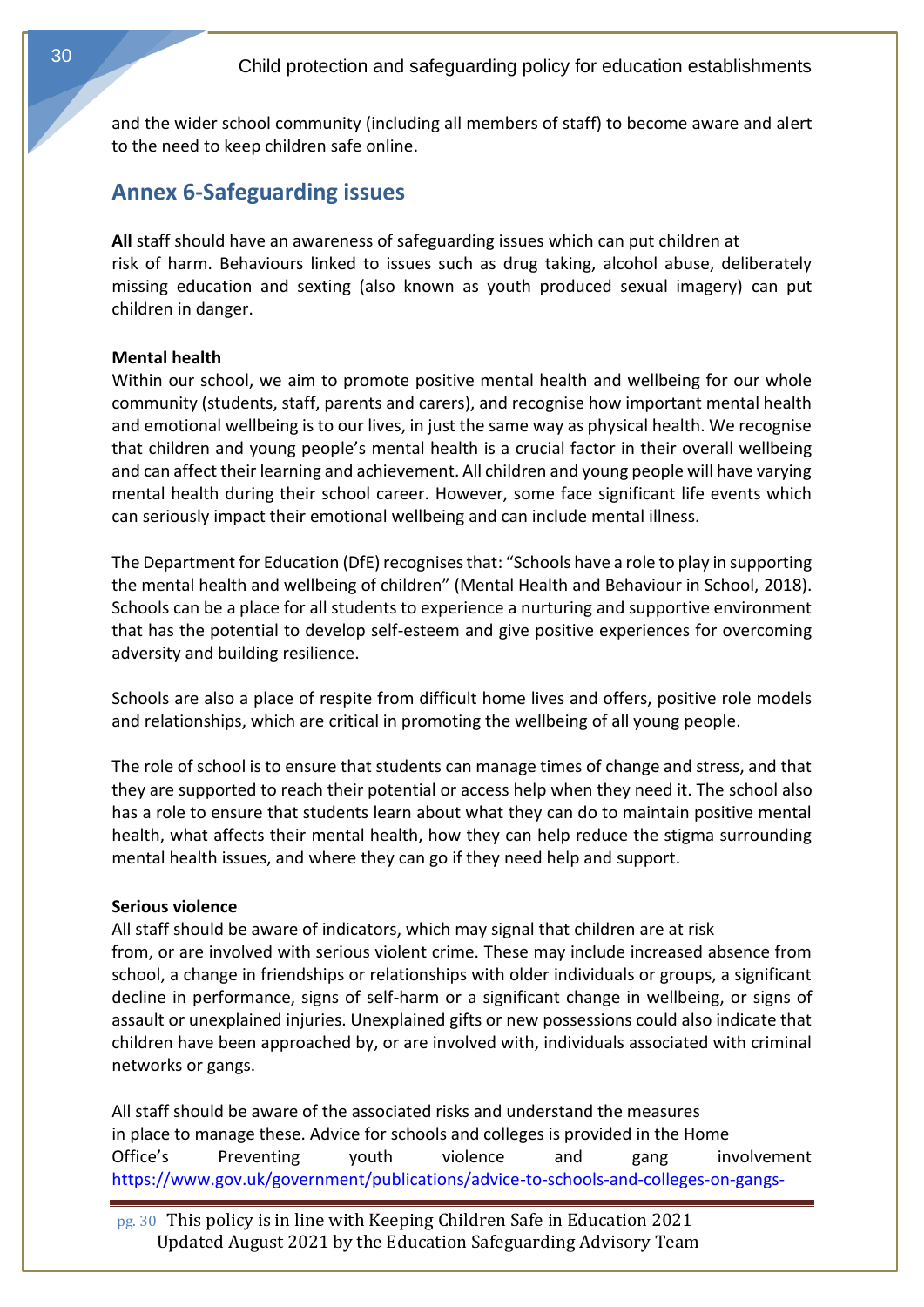<span id="page-29-0"></span>and the wider school community (including all members of staff) to become aware and alert to the need to keep children safe online.

# **Annex 6-Safeguarding issues**

<span id="page-29-1"></span>**All** staff should have an awareness of safeguarding issues which can put children at risk of harm. Behaviours linked to issues such as drug taking, alcohol abuse, deliberately missing education and sexting (also known as youth produced sexual imagery) can put children in danger.

#### **Mental health**

Within our school, we aim to promote positive mental health and wellbeing for our whole community (students, staff, parents and carers), and recognise how important mental health and emotional wellbeing is to our lives, in just the same way as physical health. We recognise that children and young people's mental health is a crucial factor in their overall wellbeing and can affect their learning and achievement. All children and young people will have varying mental health during their school career. However, some face significant life events which can seriously impact their emotional wellbeing and can include mental illness.

The Department for Education (DfE) recognises that: "Schools have a role to play in supporting the mental health and wellbeing of children" (Mental Health and Behaviour in School, 2018). Schools can be a place for all students to experience a nurturing and supportive environment that has the potential to develop self-esteem and give positive experiences for overcoming adversity and building resilience.

Schools are also a place of respite from difficult home lives and offers, positive role models and relationships, which are critical in promoting the wellbeing of all young people.

<span id="page-29-2"></span>The role of school is to ensure that students can manage times of change and stress, and that they are supported to reach their potential or access help when they need it. The school also has a role to ensure that students learn about what they can do to maintain positive mental health, what affects their mental health, how they can help reduce the stigma surrounding mental health issues, and where they can go if they need help and support.

#### **Serious violence**

All staff should be aware of indicators, which may signal that children are at risk from, or are involved with serious violent crime. These may include increased absence from school, a change in friendships or relationships with older individuals or groups, a significant decline in performance, signs of self-harm or a significant change in wellbeing, or signs of assault or unexplained injuries. Unexplained gifts or new possessions could also indicate that children have been approached by, or are involved with, individuals associated with criminal networks or gangs.

All staff should be aware of the associated risks and understand the measures in place to manage these. Advice for schools and colleges is provided in the Home Office's Preventing youth violence and gang involvement [https://www.gov.uk/government/publications/advice-to-schools-and-colleges-on-gangs-](https://www.gov.uk/government/publications/advice-to-schools-and-colleges-on-gangs-and-youth-violence)

pg. 30 This policy is in line with Keeping Children Safe in Education 2021 Updated August 2021 by the Education Safeguarding Advisory Team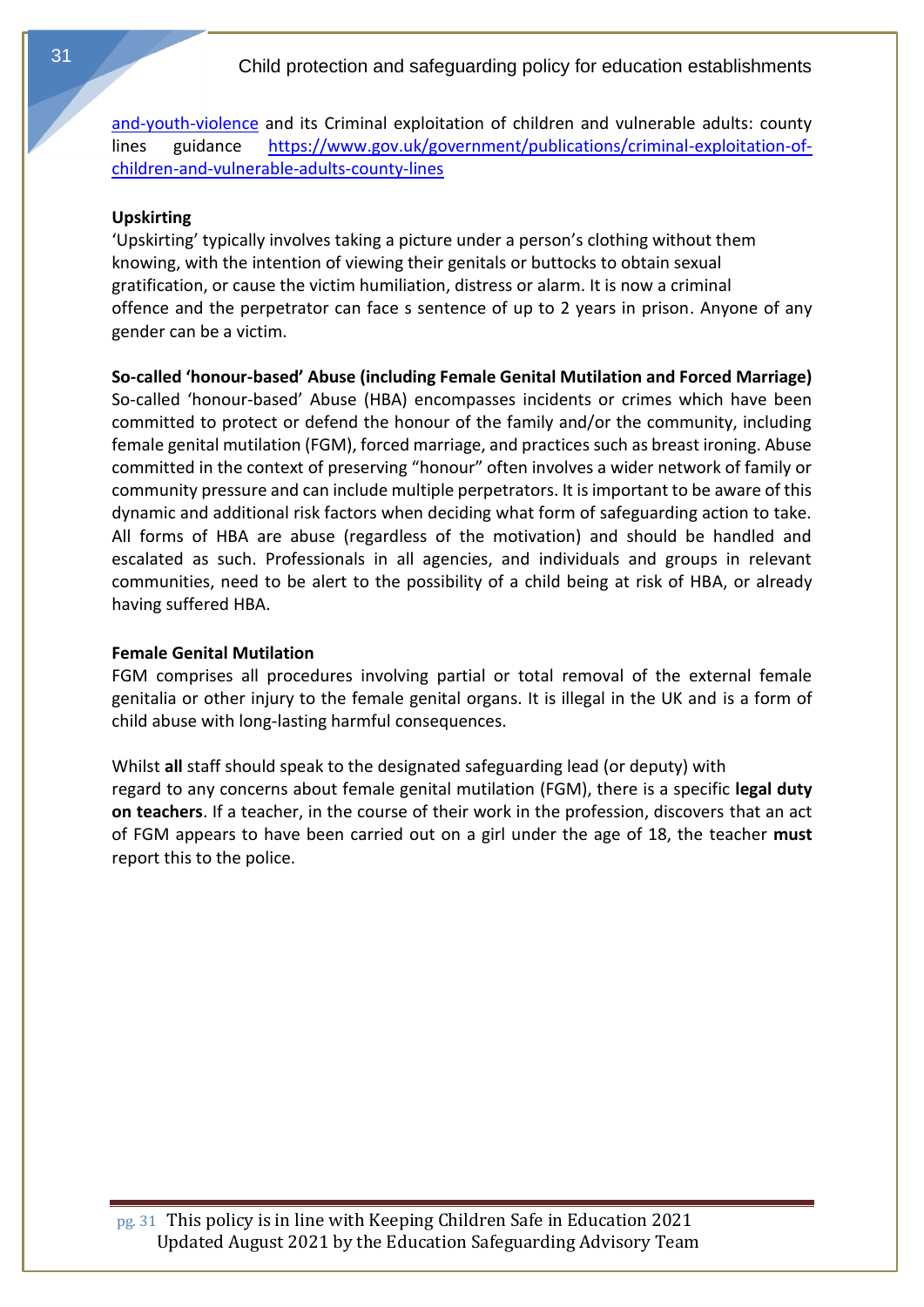<span id="page-30-0"></span>[and-youth-violence](https://www.gov.uk/government/publications/advice-to-schools-and-colleges-on-gangs-and-youth-violence) and its Criminal exploitation of children and vulnerable adults: county lines guidance [https://www.gov.uk/government/publications/criminal-exploitation-of](https://www.gov.uk/government/publications/criminal-exploitation-of-children-and-vulnerable-adults-county-lines)[children-and-vulnerable-adults-county-lines](https://www.gov.uk/government/publications/criminal-exploitation-of-children-and-vulnerable-adults-county-lines)

#### **Upskirting**

<span id="page-30-1"></span>'Upskirting' typically involves taking a picture under a person's clothing without them knowing, with the intention of viewing their genitals or buttocks to obtain sexual gratification, or cause the victim humiliation, distress or alarm. It is now a criminal offence and the perpetrator can face s sentence of up to 2 years in prison. Anyone of any gender can be a victim.

**So-called 'honour-based' Abuse (including Female Genital Mutilation and Forced Marriage)** So-called 'honour-based' Abuse (HBA) encompasses incidents or crimes which have been committed to protect or defend the honour of the family and/or the community, including female genital mutilation (FGM), forced marriage, and practices such as breast ironing. Abuse committed in the context of preserving "honour" often involves a wider network of family or community pressure and can include multiple perpetrators. It is important to be aware of this dynamic and additional risk factors when deciding what form of safeguarding action to take. All forms of HBA are abuse (regardless of the motivation) and should be handled and escalated as such. Professionals in all agencies, and individuals and groups in relevant communities, need to be alert to the possibility of a child being at risk of HBA, or already having suffered HBA.

#### <span id="page-30-2"></span>**Female Genital Mutilation**

FGM comprises all procedures involving partial or total removal of the external female genitalia or other injury to the female genital organs. It is illegal in the UK and is a form of child abuse with long-lasting harmful consequences.

Whilst **all** staff should speak to the designated safeguarding lead (or deputy) with regard to any concerns about female genital mutilation (FGM), there is a specific **legal duty on teachers**. If a teacher, in the course of their work in the profession, discovers that an act of FGM appears to have been carried out on a girl under the age of 18, the teacher **must**  report this to the police.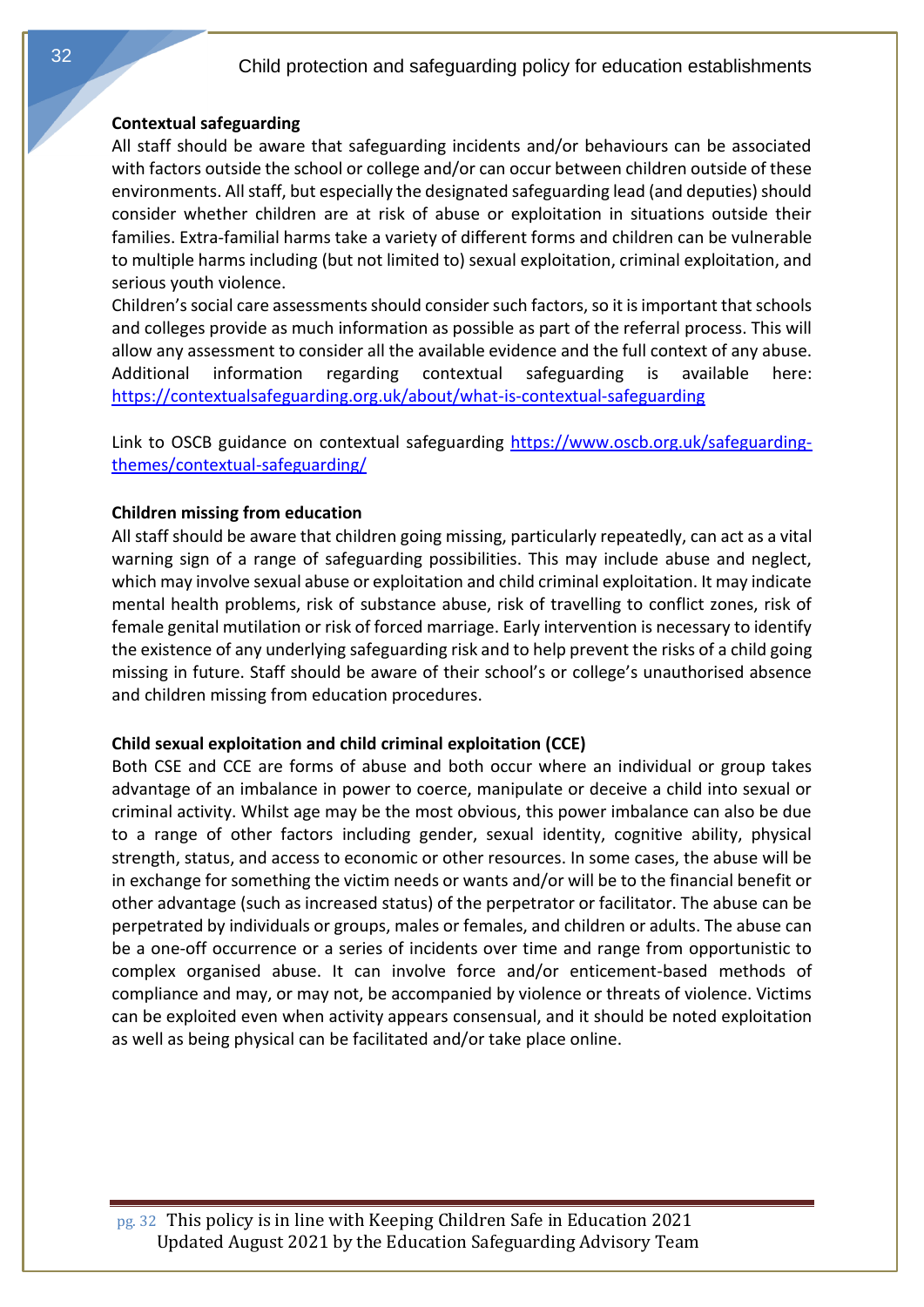#### <span id="page-31-0"></span>**Contextual safeguarding**

All staff should be aware that safeguarding incidents and/or behaviours can be associated with factors outside the school or college and/or can occur between children outside of these environments. All staff, but especially the designated safeguarding lead (and deputies) should consider whether children are at risk of abuse or exploitation in situations outside their families. Extra-familial harms take a variety of different forms and children can be vulnerable to multiple harms including (but not limited to) sexual exploitation, criminal exploitation, and serious youth violence.

Children's social care assessments should consider such factors, so it is important that schools and colleges provide as much information as possible as part of the referral process. This will allow any assessment to consider all the available evidence and the full context of any abuse. Additional information regarding contextual safeguarding is available here: <https://contextualsafeguarding.org.uk/about/what-is-contextual-safeguarding>

<span id="page-31-1"></span>Link to OSCB guidance on contextual safeguarding [https://www.oscb.org.uk/safeguarding](https://www.oscb.org.uk/safeguarding-themes/contextual-safeguarding/)[themes/contextual-safeguarding/](https://www.oscb.org.uk/safeguarding-themes/contextual-safeguarding/)

#### **Children missing from education**

All staff should be aware that children going missing, particularly repeatedly, can act as a vital warning sign of a range of safeguarding possibilities. This may include abuse and neglect, which may involve sexual abuse or exploitation and child criminal exploitation. It may indicate mental health problems, risk of substance abuse, risk of travelling to conflict zones, risk of female genital mutilation or risk of forced marriage. Early intervention is necessary to identify the existence of any underlying safeguarding risk and to help prevent the risks of a child going missing in future. Staff should be aware of their school's or college's unauthorised absence and children missing from education procedures.

#### <span id="page-31-2"></span>**Child sexual exploitation and child criminal exploitation (CCE)**

Both CSE and CCE are forms of abuse and both occur where an individual or group takes advantage of an imbalance in power to coerce, manipulate or deceive a child into sexual or criminal activity. Whilst age may be the most obvious, this power imbalance can also be due to a range of other factors including gender, sexual identity, cognitive ability, physical strength, status, and access to economic or other resources. In some cases, the abuse will be in exchange for something the victim needs or wants and/or will be to the financial benefit or other advantage (such as increased status) of the perpetrator or facilitator. The abuse can be perpetrated by individuals or groups, males or females, and children or adults. The abuse can be a one-off occurrence or a series of incidents over time and range from opportunistic to complex organised abuse. It can involve force and/or enticement-based methods of compliance and may, or may not, be accompanied by violence or threats of violence. Victims can be exploited even when activity appears consensual, and it should be noted exploitation as well as being physical can be facilitated and/or take place online.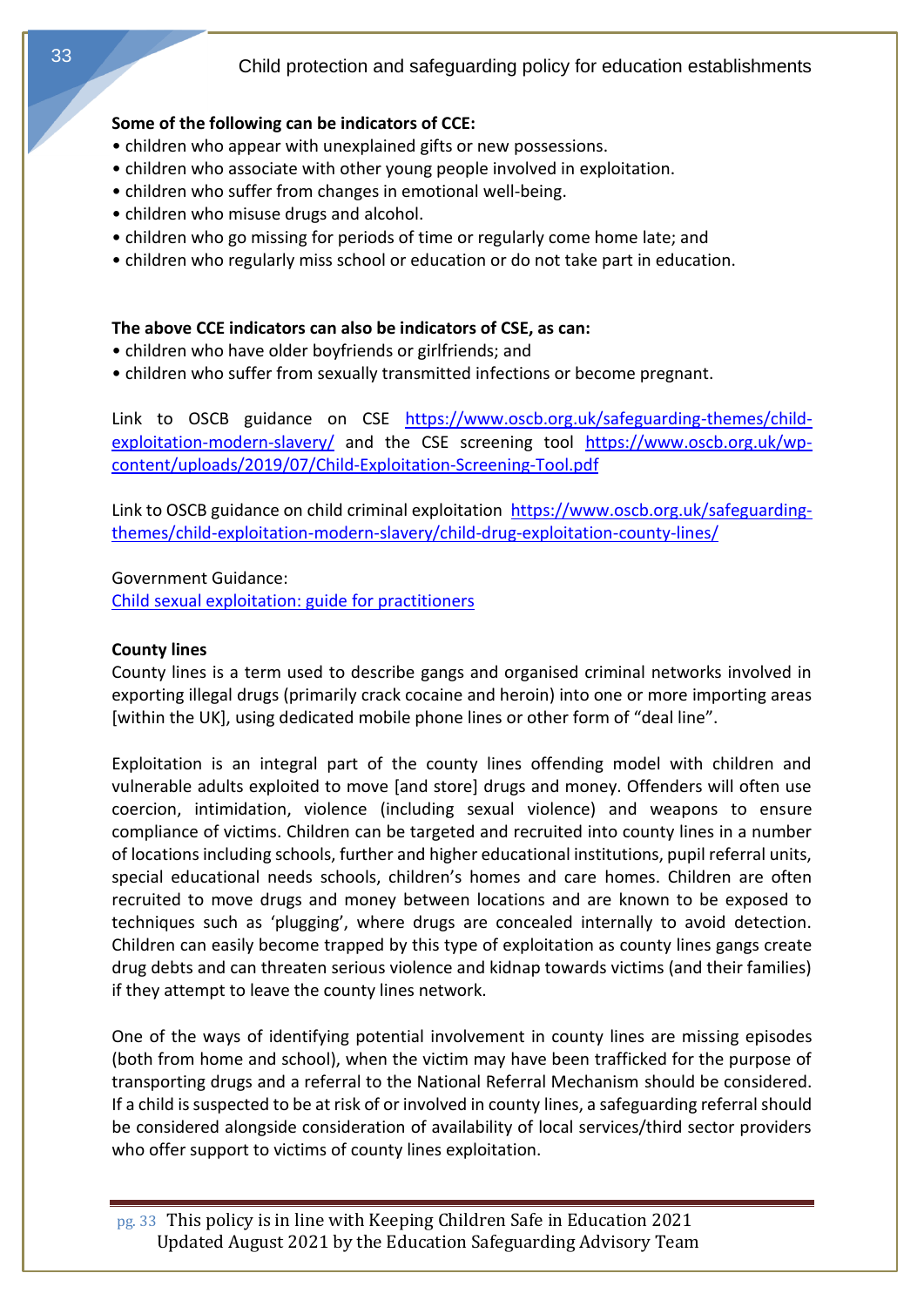## **Some of the following can be indicators of CCE:**

- children who appear with unexplained gifts or new possessions.
- children who associate with other young people involved in exploitation.
- children who suffer from changes in emotional well-being.
- children who misuse drugs and alcohol.
- children who go missing for periods of time or regularly come home late; and
- children who regularly miss school or education or do not take part in education.

# **The above CCE indicators can also be indicators of CSE, as can:**

- children who have older boyfriends or girlfriends; and
- children who suffer from sexually transmitted infections or become pregnant.

Link to OSCB guidance on CSE [https://www.oscb.org.uk/safeguarding-themes/child](https://www.oscb.org.uk/safeguarding-themes/child-exploitation-modern-slavery/)[exploitation-modern-slavery/](https://www.oscb.org.uk/safeguarding-themes/child-exploitation-modern-slavery/) and the CSE screening tool [https://www.oscb.org.uk/wp](https://www.oscb.org.uk/wp-content/uploads/2019/07/Child-Exploitation-Screening-Tool.pdf)[content/uploads/2019/07/Child-Exploitation-Screening-Tool.pdf](https://www.oscb.org.uk/wp-content/uploads/2019/07/Child-Exploitation-Screening-Tool.pdf)

Link to OSCB guidance on child criminal exploitation [https://www.oscb.org.uk/safeguarding](https://www.oscb.org.uk/safeguarding-themes/child-exploitation-modern-slavery/child-drug-exploitation-county-lines/)[themes/child-exploitation-modern-slavery/child-drug-exploitation-county-lines/](https://www.oscb.org.uk/safeguarding-themes/child-exploitation-modern-slavery/child-drug-exploitation-county-lines/)

<span id="page-32-0"></span>Government Guidance:

[Child sexual exploitation: guide for practitioners](https://www.gov.uk/government/publications/child-sexual-exploitation-definition-and-guide-for-practitioners)

## **County lines**

County lines is a term used to describe gangs and organised criminal networks involved in exporting illegal drugs (primarily crack cocaine and heroin) into one or more importing areas [within the UK], using dedicated mobile phone lines or other form of "deal line".

Exploitation is an integral part of the county lines offending model with children and vulnerable adults exploited to move [and store] drugs and money. Offenders will often use coercion, intimidation, violence (including sexual violence) and weapons to ensure compliance of victims. Children can be targeted and recruited into county lines in a number of locations including schools, further and higher educational institutions, pupil referral units, special educational needs schools, children's homes and care homes. Children are often recruited to move drugs and money between locations and are known to be exposed to techniques such as 'plugging', where drugs are concealed internally to avoid detection. Children can easily become trapped by this type of exploitation as county lines gangs create drug debts and can threaten serious violence and kidnap towards victims (and their families) if they attempt to leave the county lines network.

One of the ways of identifying potential involvement in county lines are missing episodes (both from home and school), when the victim may have been trafficked for the purpose of transporting drugs and a referral to the National Referral Mechanism should be considered. If a child is suspected to be at risk of or involved in county lines, a safeguarding referral should be considered alongside consideration of availability of local services/third sector providers who offer support to victims of county lines exploitation.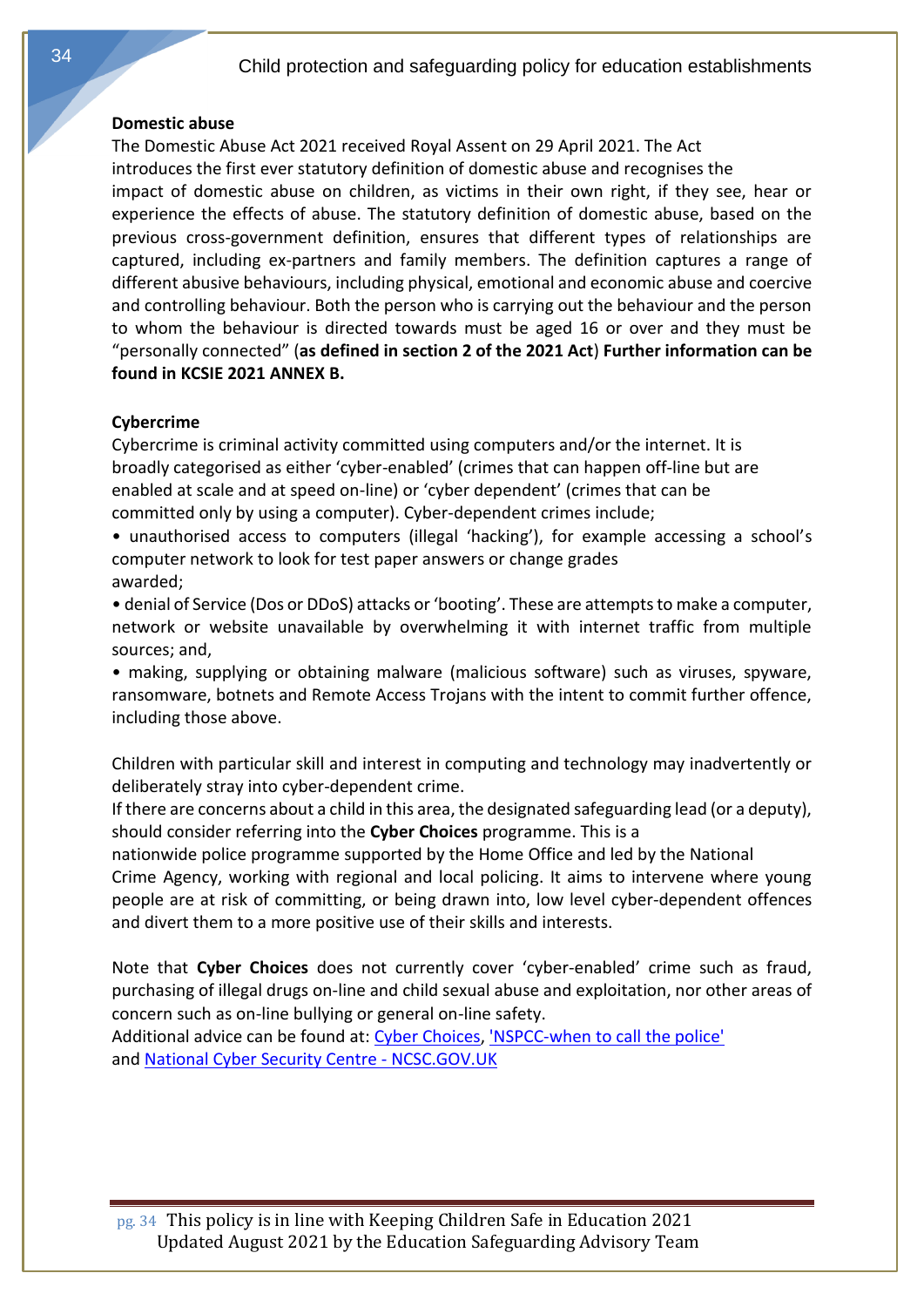#### <span id="page-33-0"></span>**Domestic abuse**

The Domestic Abuse Act 2021 received Royal Assent on 29 April 2021. The Act introduces the first ever statutory definition of domestic abuse and recognises the impact of domestic abuse on children, as victims in their own right, if they see, hear or experience the effects of abuse. The statutory definition of domestic abuse, based on the previous cross-government definition, ensures that different types of relationships are captured, including ex-partners and family members. The definition captures a range of different abusive behaviours, including physical, emotional and economic abuse and coercive and controlling behaviour. Both the person who is carrying out the behaviour and the person to whom the behaviour is directed towards must be aged 16 or over and they must be "personally connected" (**as defined in section 2 of the 2021 Act**) **Further information can be found in KCSIE 2021 ANNEX B.**

#### <span id="page-33-1"></span>**Cybercrime**

Cybercrime is criminal activity committed using computers and/or the internet. It is broadly categorised as either 'cyber-enabled' (crimes that can happen off-line but are enabled at scale and at speed on-line) or 'cyber dependent' (crimes that can be committed only by using a computer). Cyber-dependent crimes include;

• unauthorised access to computers (illegal 'hacking'), for example accessing a school's computer network to look for test paper answers or change grades awarded;

• denial of Service (Dos or DDoS) attacks or 'booting'. These are attempts to make a computer, network or website unavailable by overwhelming it with internet traffic from multiple sources; and,

• making, supplying or obtaining malware (malicious software) such as viruses, spyware, ransomware, botnets and Remote Access Trojans with the intent to commit further offence, including those above.

Children with particular skill and interest in computing and technology may inadvertently or deliberately stray into cyber-dependent crime.

If there are concerns about a child in this area, the designated safeguarding lead (or a deputy), should consider referring into the **Cyber Choices** programme. This is a

nationwide police programme supported by the Home Office and led by the National Crime Agency, working with regional and local policing. It aims to intervene where young people are at risk of committing, or being drawn into, low level cyber-dependent offences and divert them to a more positive use of their skills and interests.

Note that **Cyber Choices** does not currently cover 'cyber-enabled' crime such as fraud, purchasing of illegal drugs on-line and child sexual abuse and exploitation, nor other areas of concern such as on-line bullying or general on-line safety.

Additional advice can be found at: [Cyber Choices,](http://www.cyberchoices.uk/) ['NSPCC-when to call the police'](https://www.npcc.police.uk/documents/Children%20and%20Young%20people/When%20to%20call%20the%20police%20guidance%20for%20schools%20and%20colleges.pdf) and [National Cyber Security Centre -](https://www.ncsc.gov.uk/) NCSC.GOV.UK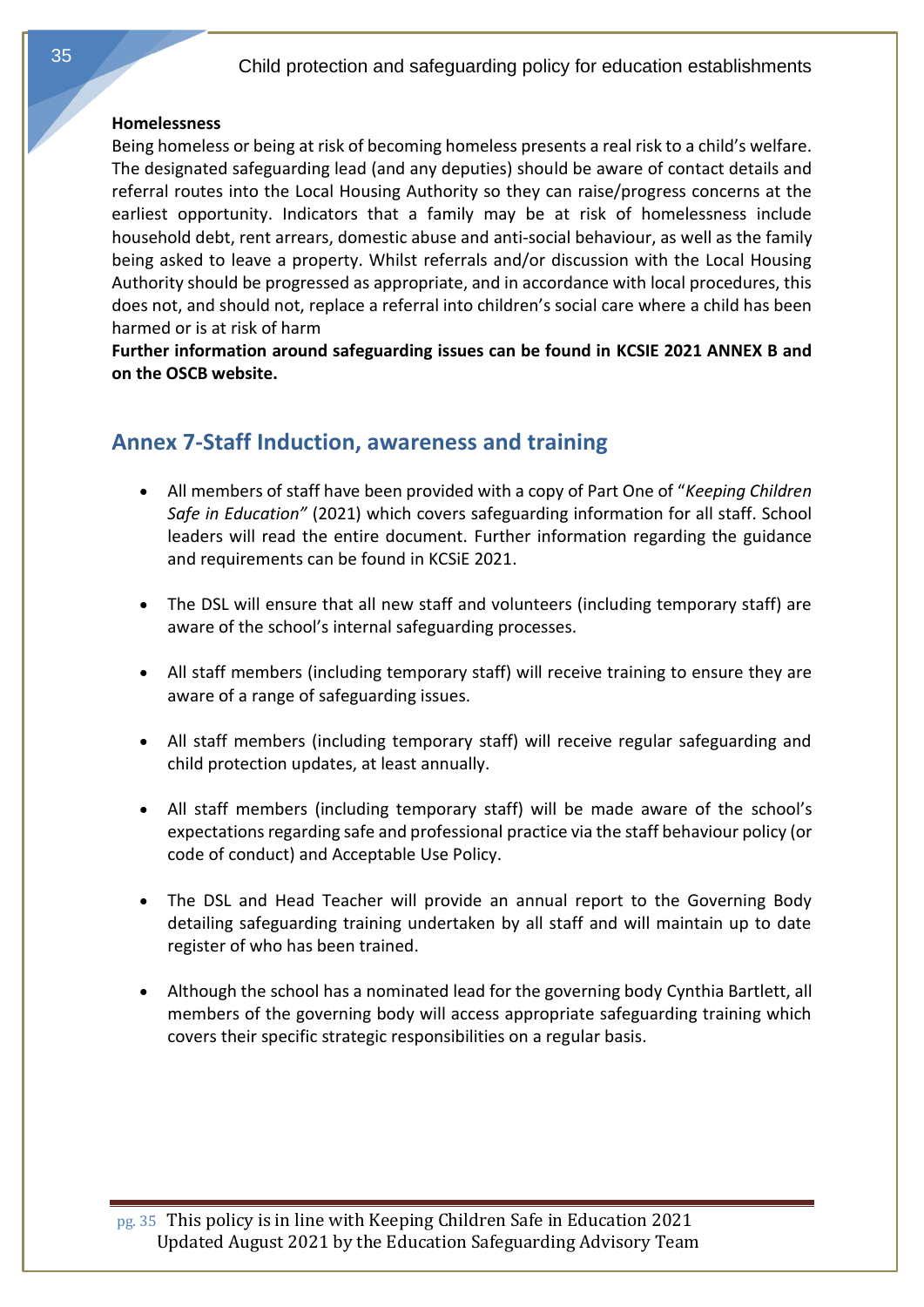#### <span id="page-34-0"></span>**Homelessness**

Being homeless or being at risk of becoming homeless presents a real risk to a child's welfare. The designated safeguarding lead (and any deputies) should be aware of contact details and referral routes into the Local Housing Authority so they can raise/progress concerns at the earliest opportunity. Indicators that a family may be at risk of homelessness include household debt, rent arrears, domestic abuse and anti-social behaviour, as well as the family being asked to leave a property. Whilst referrals and/or discussion with the Local Housing Authority should be progressed as appropriate, and in accordance with local procedures, this does not, and should not, replace a referral into children's social care where a child has been harmed or is at risk of harm

<span id="page-34-1"></span>**Further information around safeguarding issues can be found in KCSIE 2021 ANNEX B and on the OSCB website.**

# **Annex 7-Staff Induction, awareness and training**

- All members of staff have been provided with a copy of Part One of "*Keeping Children Safe in Education"* (2021) which covers safeguarding information for all staff. School leaders will read the entire document. Further information regarding the guidance and requirements can be found in KCSiE 2021.
- The DSL will ensure that all new staff and volunteers (including temporary staff) are aware of the school's internal safeguarding processes.
- All staff members (including temporary staff) will receive training to ensure they are aware of a range of safeguarding issues.
- All staff members (including temporary staff) will receive regular safeguarding and child protection updates, at least annually.
- All staff members (including temporary staff) will be made aware of the school's expectations regarding safe and professional practice via the staff behaviour policy (or code of conduct) and Acceptable Use Policy.
- The DSL and Head Teacher will provide an annual report to the Governing Body detailing safeguarding training undertaken by all staff and will maintain up to date register of who has been trained.
- Although the school has a nominated lead for the governing body Cynthia Bartlett, all members of the governing body will access appropriate safeguarding training which covers their specific strategic responsibilities on a regular basis.